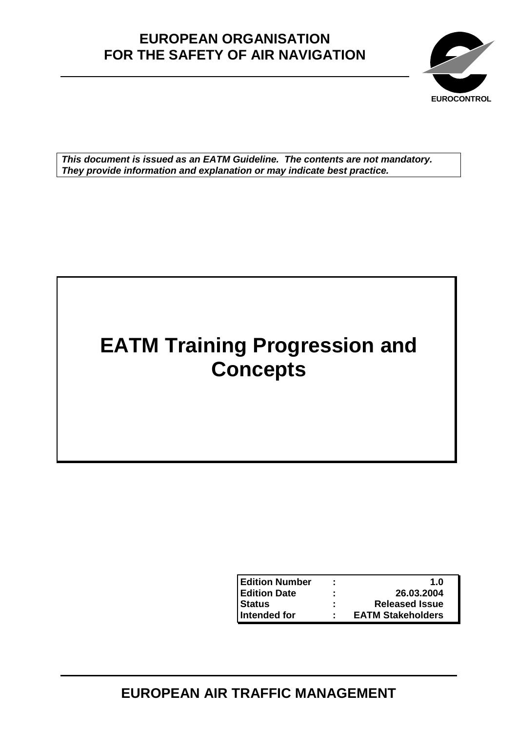## **EUROPEAN ORGANISATION FOR THE SAFETY OF AIR NAVIGATION**



*This document is issued as an EATM Guideline. The contents are not mandatory. They provide information and explanation or may indicate best practice.*

# **EATM Training Progression and Concepts**

| <b>Edition Number</b> |   | 1.0                      |
|-----------------------|---|--------------------------|
| <b>Edition Date</b>   |   | 26.03.2004               |
| <b>Status</b>         | ٠ | <b>Released Issue</b>    |
| Intended for          |   | <b>EATM Stakeholders</b> |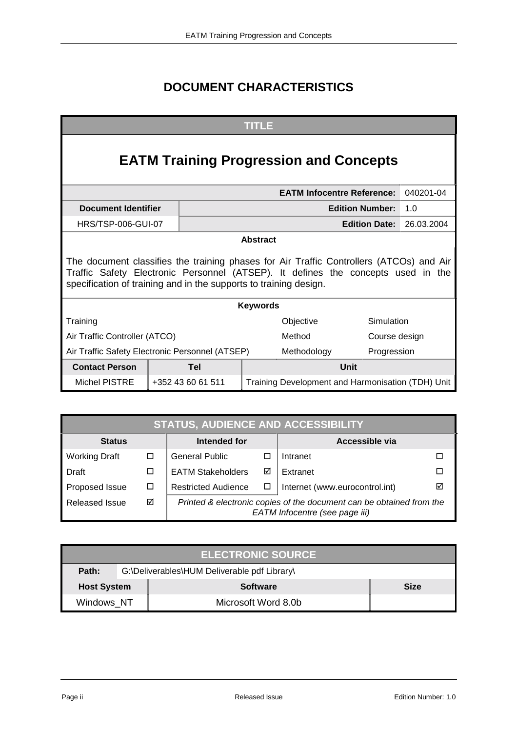## **DOCUMENT CHARACTERISTICS**

|                                                                                                                                                                                                                                                                     | <b>TITLE</b> |                   |                 |                                                   |                        |            |
|---------------------------------------------------------------------------------------------------------------------------------------------------------------------------------------------------------------------------------------------------------------------|--------------|-------------------|-----------------|---------------------------------------------------|------------------------|------------|
| <b>EATM Training Progression and Concepts</b>                                                                                                                                                                                                                       |              |                   |                 |                                                   |                        |            |
|                                                                                                                                                                                                                                                                     |              |                   |                 | <b>EATM Infocentre Reference:</b>                 |                        | 040201-04  |
| <b>Document Identifier</b>                                                                                                                                                                                                                                          |              |                   |                 |                                                   | <b>Edition Number:</b> | 1.0        |
| <b>HRS/TSP-006-GUI-07</b>                                                                                                                                                                                                                                           |              |                   |                 |                                                   | <b>Edition Date:</b>   | 26.03.2004 |
| <b>Abstract</b><br>The document classifies the training phases for Air Traffic Controllers (ATCOs) and Air<br>Traffic Safety Electronic Personnel (ATSEP). It defines the concepts used in the<br>specification of training and in the supports to training design. |              |                   |                 |                                                   |                        |            |
|                                                                                                                                                                                                                                                                     |              |                   | <b>Keywords</b> |                                                   |                        |            |
| Training                                                                                                                                                                                                                                                            |              |                   |                 | Objective                                         | Simulation             |            |
| Air Traffic Controller (ATCO)                                                                                                                                                                                                                                       |              |                   |                 | Method                                            | Course design          |            |
| Air Traffic Safety Electronic Personnel (ATSEP)<br>Methodology<br>Progression                                                                                                                                                                                       |              |                   |                 |                                                   |                        |            |
| <b>Contact Person</b>                                                                                                                                                                                                                                               | Unit<br>Tel  |                   |                 |                                                   |                        |            |
| <b>Michel PISTRE</b>                                                                                                                                                                                                                                                |              | +352 43 60 61 511 |                 | Training Development and Harmonisation (TDH) Unit |                        |            |

| <b>STATUS, AUDIENCE AND ACCESSIBILITY</b> |   |                                                                                                        |   |                                |   |  |
|-------------------------------------------|---|--------------------------------------------------------------------------------------------------------|---|--------------------------------|---|--|
| <b>Status</b>                             |   | Intended for                                                                                           |   | Accessible via                 |   |  |
| <b>Working Draft</b>                      |   | <b>General Public</b>                                                                                  |   | Intranet                       |   |  |
| Draft                                     |   | <b>EATM Stakeholders</b>                                                                               | ☑ | Extranet                       |   |  |
| Proposed Issue                            | □ | <b>Restricted Audience</b>                                                                             | ш | Internet (www.eurocontrol.int) | ☑ |  |
| Released Issue                            | ☑ | Printed & electronic copies of the document can be obtained from the<br>EATM Infocentre (see page iii) |   |                                |   |  |

| <b>ELECTRONIC SOURCE</b>              |                                              |                     |  |  |
|---------------------------------------|----------------------------------------------|---------------------|--|--|
| Path:                                 | G:\Deliverables\HUM Deliverable pdf Library\ |                     |  |  |
| <b>Host System</b><br><b>Software</b> |                                              | <b>Size</b>         |  |  |
| Windows NT                            |                                              | Microsoft Word 8.0b |  |  |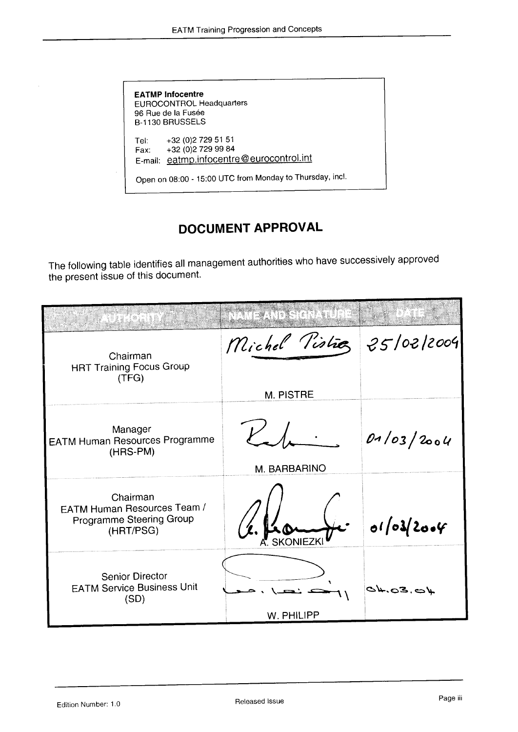|              | <b>EATMP Infocentre</b><br>EUROCONTROL Headquarters<br>96 Rue de la Fusée<br>B-1130 BRUSSELS |
|--------------|----------------------------------------------------------------------------------------------|
| Tel:<br>Fax: | +32 (0)2 729 51 51<br>+32 (0)2 729 99 84<br>E-mail: eatmp.infocentre@eurocontrol.int         |
|              | Open on 08:00 - 15:00 UTC from Monday to Thursday, incl.                                     |

## DOCUMENT APPROVAL

The following table identifies all management authorities who have successively approved<br>the present issue of this document.

| re de la loca                                                                    | <b>ALLAND ARTICLE</b>     |              |
|----------------------------------------------------------------------------------|---------------------------|--------------|
| Chairman                                                                         | Michel Pistres 25/02/2004 |              |
| <b>HRT Training Focus Group</b><br>(TFG)                                         |                           |              |
|                                                                                  | M. PISTRE                 |              |
| Manager<br><b>EATM Human Resources Programme</b><br>(HRS-PM)                     | M. BARBARINO              | 01/03/2004   |
| Chairman<br>EATM Human Resources Team /<br>Programme Steering Group<br>(HRT/PSG) |                           | o1/03/2o04   |
| <b>Senior Director</b><br><b>EATM Service Business Unit</b><br>(SD)              | W. PHILIPP                | $40.50 + 00$ |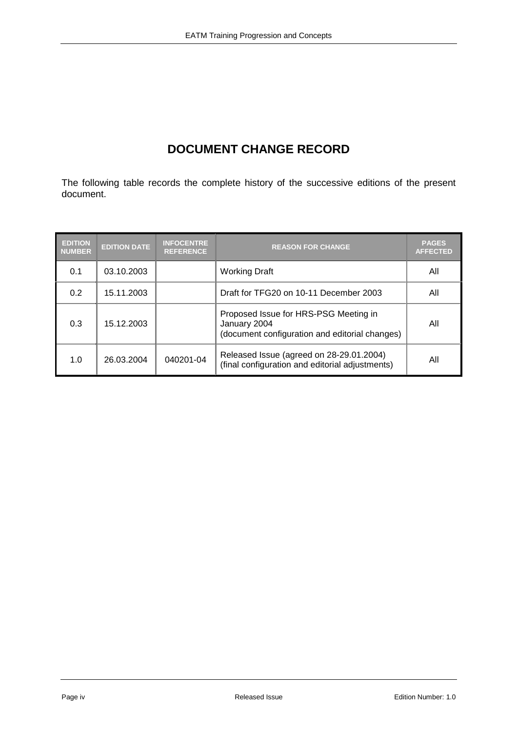## **DOCUMENT CHANGE RECORD**

The following table records the complete history of the successive editions of the present document.

| <b>EDITION</b><br><b>NUMBER</b> | <b>EDITION DATE</b> | <b>INFOCENTRE</b><br><b>REFERENCE</b> | <b>REASON FOR CHANGE</b>                                                                                | <b>PAGES</b><br><b>AFFECTED</b> |
|---------------------------------|---------------------|---------------------------------------|---------------------------------------------------------------------------------------------------------|---------------------------------|
| 0.1                             | 03.10.2003          |                                       | <b>Working Draft</b>                                                                                    | All                             |
| 0.2                             | 15.11.2003          |                                       | Draft for TFG20 on 10-11 December 2003                                                                  | All                             |
| 0.3                             | 15.12.2003          |                                       | Proposed Issue for HRS-PSG Meeting in<br>January 2004<br>(document configuration and editorial changes) | All                             |
| 1.0                             | 26.03.2004          | 040201-04                             | Released Issue (agreed on 28-29.01.2004)<br>(final configuration and editorial adjustments)             | All                             |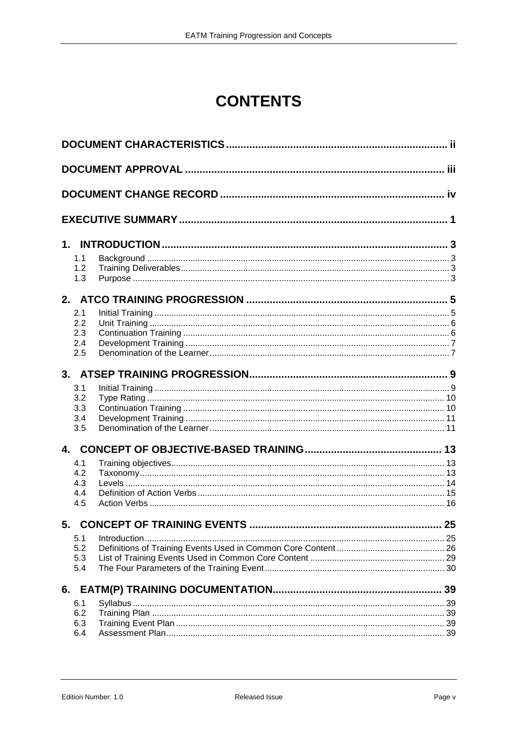## **CONTENTS**

|    | 1.1 |    |
|----|-----|----|
|    | 1.2 |    |
|    | 1.3 |    |
|    |     |    |
|    | 2.1 |    |
|    | 2.2 |    |
|    | 2.3 |    |
|    | 2.4 |    |
|    | 2.5 |    |
|    |     |    |
|    |     |    |
|    | 3.1 |    |
|    | 3.2 |    |
|    | 3.3 |    |
|    | 3.4 |    |
|    | 3.5 |    |
|    |     |    |
|    |     |    |
|    | 4.1 |    |
|    | 4.2 |    |
|    | 4.3 |    |
|    | 4.4 |    |
|    | 4.5 |    |
|    |     | 25 |
|    |     |    |
|    | 5.1 |    |
|    | 5.2 |    |
|    | 5.3 |    |
|    | 5.4 |    |
| 6. |     |    |
|    | 6.1 |    |
|    | 6.2 |    |
|    | 6.3 |    |
|    | 6.4 |    |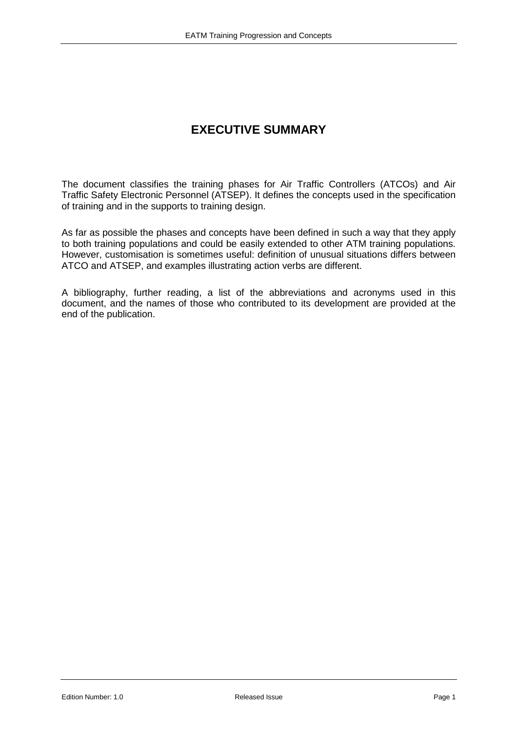## **EXECUTIVE SUMMARY**

The document classifies the training phases for Air Traffic Controllers (ATCOs) and Air Traffic Safety Electronic Personnel (ATSEP). It defines the concepts used in the specification of training and in the supports to training design.

As far as possible the phases and concepts have been defined in such a way that they apply to both training populations and could be easily extended to other ATM training populations. However, customisation is sometimes useful: definition of unusual situations differs between ATCO and ATSEP, and examples illustrating action verbs are different.

A bibliography, further reading, a list of the abbreviations and acronyms used in this document, and the names of those who contributed to its development are provided at the end of the publication.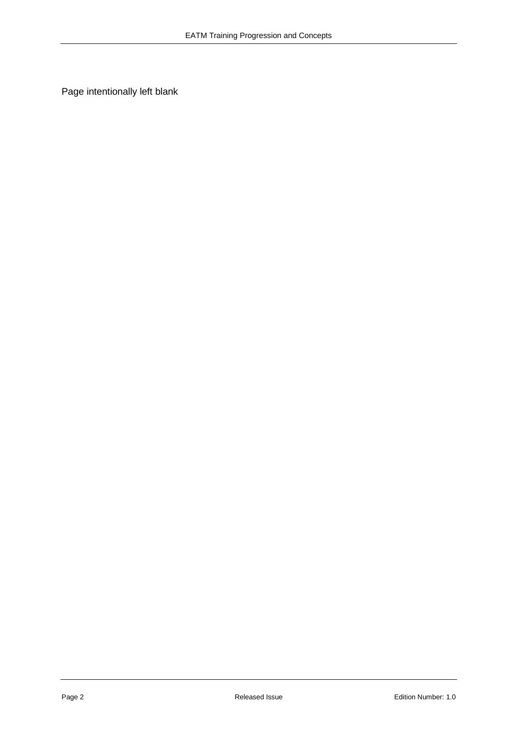Page intentionally left blank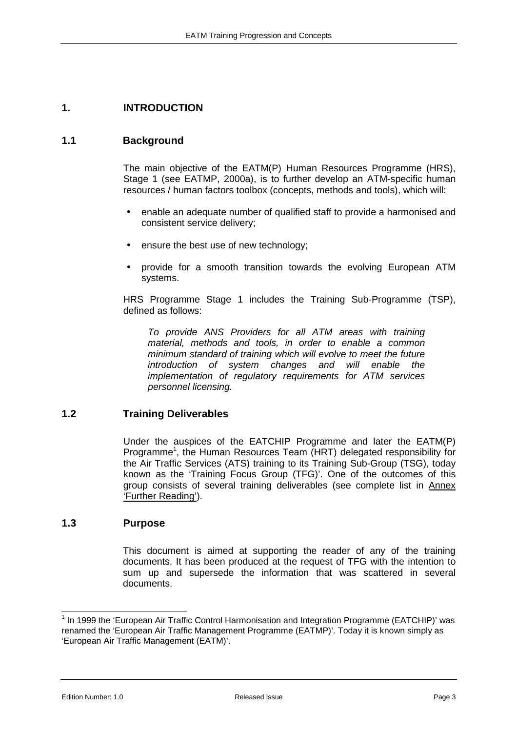## **1. INTRODUCTION**

#### **1.1 Background**

The main objective of the EATM(P) Human Resources Programme (HRS), Stage 1 (see EATMP, 2000a), is to further develop an ATM-specific human resources / human factors toolbox (concepts, methods and tools), which will:

- enable an adequate number of qualified staff to provide a harmonised and consistent service delivery;
- ensure the best use of new technology;
- provide for a smooth transition towards the evolving European ATM systems.

HRS Programme Stage 1 includes the Training Sub-Programme (TSP), defined as follows:

*To provide ANS Providers for all ATM areas with training material, methods and tools, in order to enable a common minimum standard of training which will evolve to meet the future introduction of system changes and will enable the implementation of regulatory requirements for ATM services personnel licensing.*

## **1.2 Training Deliverables**

Under the auspices of the EATCHIP Programme and later the EATM(P) Programme<sup>1</sup>, the Human Resources Team (HRT) delegated responsibility for the Air Traffic Services (ATS) training to its Training Sub-Group (TSG), today known as the 'Training Focus Group (TFG)'. One of the outcomes of this group consists of several training deliverables (see complete list in Annex 'Further Reading').

#### **1.3 Purpose**

This document is aimed at supporting the reader of any of the training documents. It has been produced at the request of TFG with the intention to sum up and supersede the information that was scattered in several documents.

 $\overline{\phantom{a}}$ 

 $<sup>1</sup>$  In 1999 the 'European Air Traffic Control Harmonisation and Integration Programme (EATCHIP)' was</sup> renamed the 'European Air Traffic Management Programme (EATMP)'. Today it is known simply as 'European Air Traffic Management (EATM)'.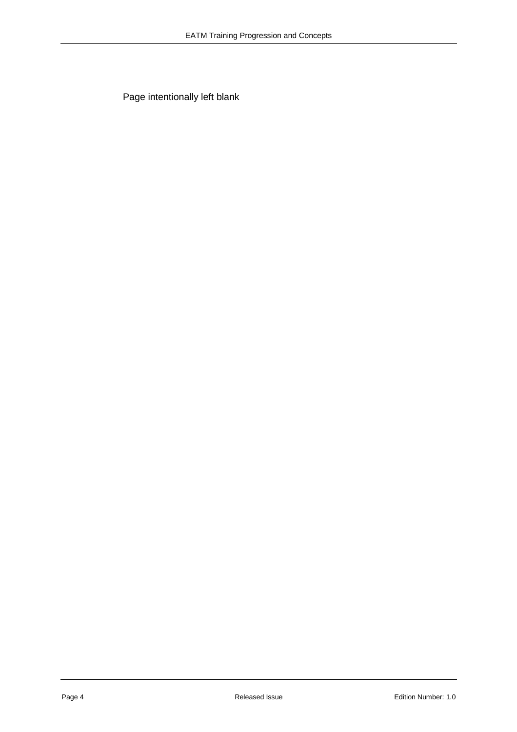Page intentionally left blank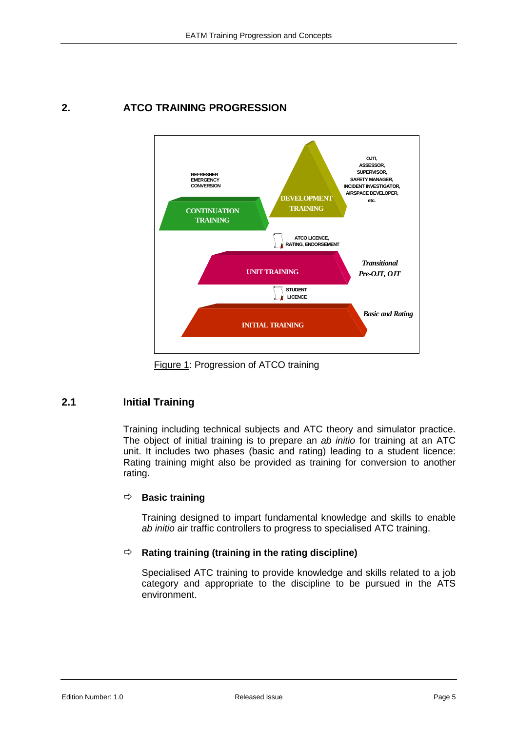## **2. ATCO TRAINING PROGRESSION**



Figure 1: Progression of ATCO training

## **2.1 Initial Training**

Training including technical subjects and ATC theory and simulator practice. The object of initial training is to prepare an *ab initio* for training at an ATC unit. It includes two phases (basic and rating) leading to a student licence: Rating training might also be provided as training for conversion to another rating.

#### **Basic training**

Training designed to impart fundamental knowledge and skills to enable *ab initio* air traffic controllers to progress to specialised ATC training.

#### **Rating training (training in the rating discipline)**

Specialised ATC training to provide knowledge and skills related to a job category and appropriate to the discipline to be pursued in the ATS environment.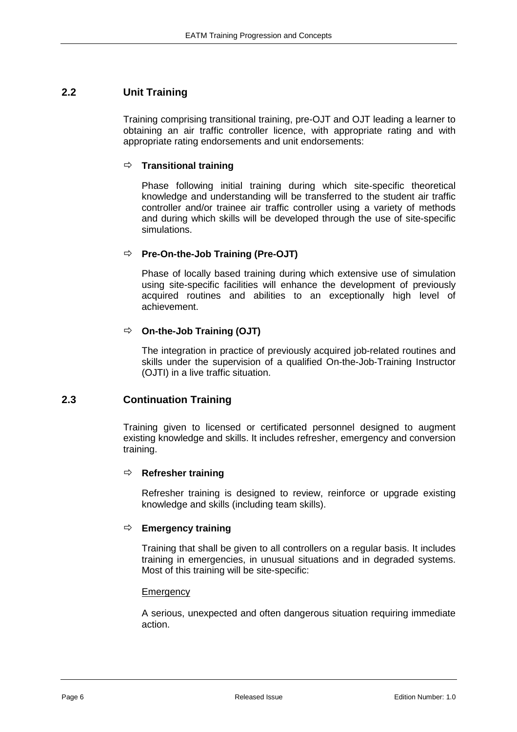## **2.2 Unit Training**

Training comprising transitional training, pre-OJT and OJT leading a learner to obtaining an air traffic controller licence, with appropriate rating and with appropriate rating endorsements and unit endorsements:

#### **Transitional training**

Phase following initial training during which site-specific theoretical knowledge and understanding will be transferred to the student air traffic controller and/or trainee air traffic controller using a variety of methods and during which skills will be developed through the use of site-specific simulations.

## **Pre-On-the-Job Training (Pre-OJT)**

Phase of locally based training during which extensive use of simulation using site-specific facilities will enhance the development of previously acquired routines and abilities to an exceptionally high level of achievement.

## **On-the-Job Training (OJT)**

The integration in practice of previously acquired job-related routines and skills under the supervision of a qualified On-the-Job-Training Instructor (OJTI) in a live traffic situation.

#### **2.3 Continuation Training**

Training given to licensed or certificated personnel designed to augment existing knowledge and skills. It includes refresher, emergency and conversion training.

#### **Refresher training**

Refresher training is designed to review, reinforce or upgrade existing knowledge and skills (including team skills).

#### **Emergency training**

Training that shall be given to all controllers on a regular basis. It includes training in emergencies, in unusual situations and in degraded systems. Most of this training will be site-specific:

#### **Emergency**

A serious, unexpected and often dangerous situation requiring immediate action.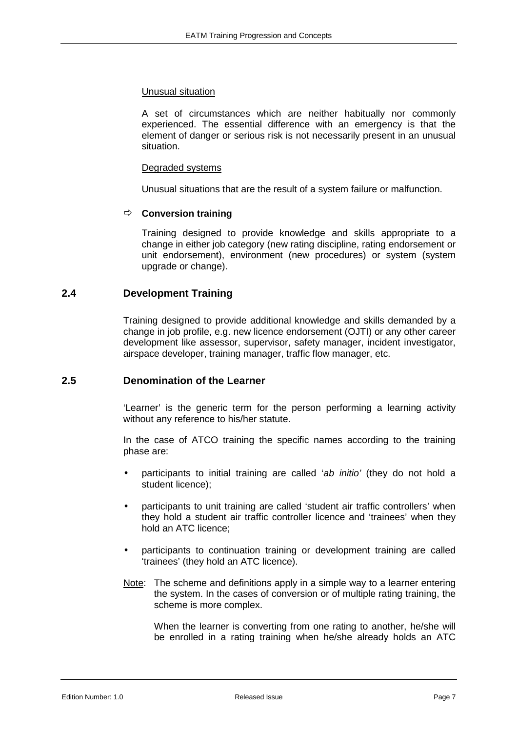#### Unusual situation

A set of circumstances which are neither habitually nor commonly experienced. The essential difference with an emergency is that the element of danger or serious risk is not necessarily present in an unusual situation.

#### Degraded systems

Unusual situations that are the result of a system failure or malfunction.

#### **Conversion training**

Training designed to provide knowledge and skills appropriate to a change in either job category (new rating discipline, rating endorsement or unit endorsement), environment (new procedures) or system (system upgrade or change).

#### **2.4 Development Training**

Training designed to provide additional knowledge and skills demanded by a change in job profile, e.g. new licence endorsement (OJTI) or any other career development like assessor, supervisor, safety manager, incident investigator, airspace developer, training manager, traffic flow manager, etc.

#### **2.5 Denomination of the Learner**

'Learner' is the generic term for the person performing a learning activity without any reference to his/her statute.

In the case of ATCO training the specific names according to the training phase are:

- participants to initial training are called '*ab initio'* (they do not hold a student licence);
- participants to unit training are called 'student air traffic controllers' when they hold a student air traffic controller licence and 'trainees' when they hold an ATC licence;
- participants to continuation training or development training are called 'trainees' (they hold an ATC licence).
- Note: The scheme and definitions apply in a simple way to a learner entering the system. In the cases of conversion or of multiple rating training, the scheme is more complex.

When the learner is converting from one rating to another, he/she will be enrolled in a rating training when he/she already holds an ATC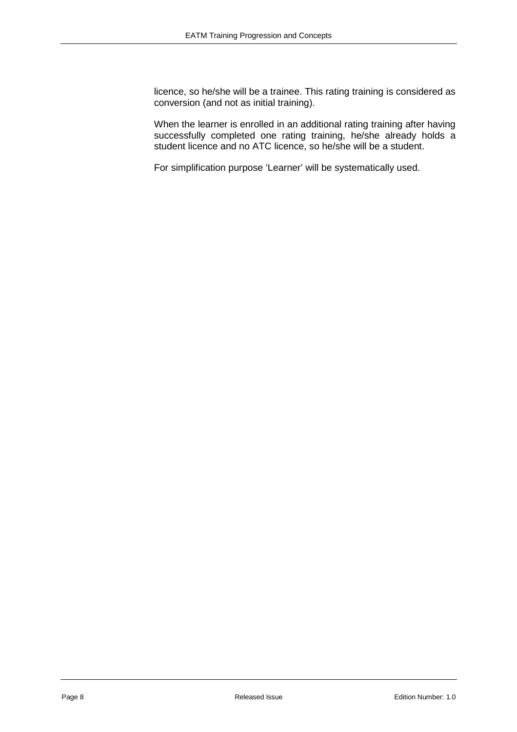licence, so he/she will be a trainee. This rating training is considered as conversion (and not as initial training).

When the learner is enrolled in an additional rating training after having successfully completed one rating training, he/she already holds a student licence and no ATC licence, so he/she will be a student.

For simplification purpose 'Learner' will be systematically used.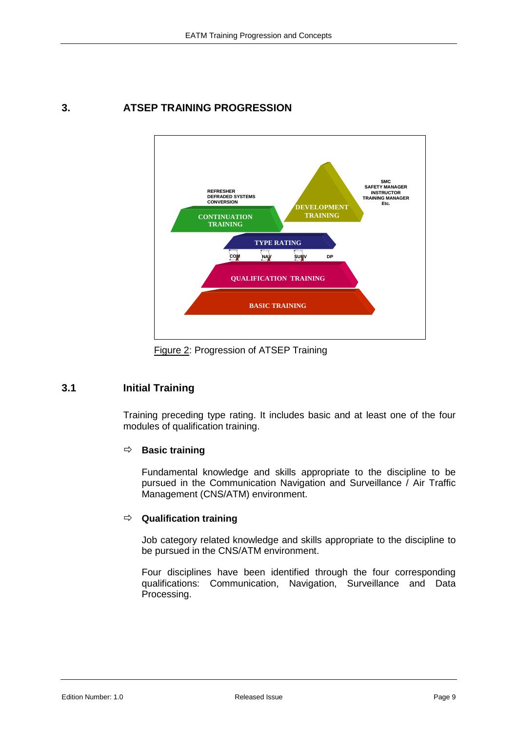## **3. ATSEP TRAINING PROGRESSION**



Figure 2: Progression of ATSEP Training

## **3.1 Initial Training**

Training preceding type rating. It includes basic and at least one of the four modules of qualification training.

#### **Basic training**

Fundamental knowledge and skills appropriate to the discipline to be pursued in the Communication Navigation and Surveillance / Air Traffic Management (CNS/ATM) environment.

#### **Qualification training**

Job category related knowledge and skills appropriate to the discipline to be pursued in the CNS/ATM environment.

Four disciplines have been identified through the four corresponding qualifications: Communication, Navigation, Surveillance and Data Processing.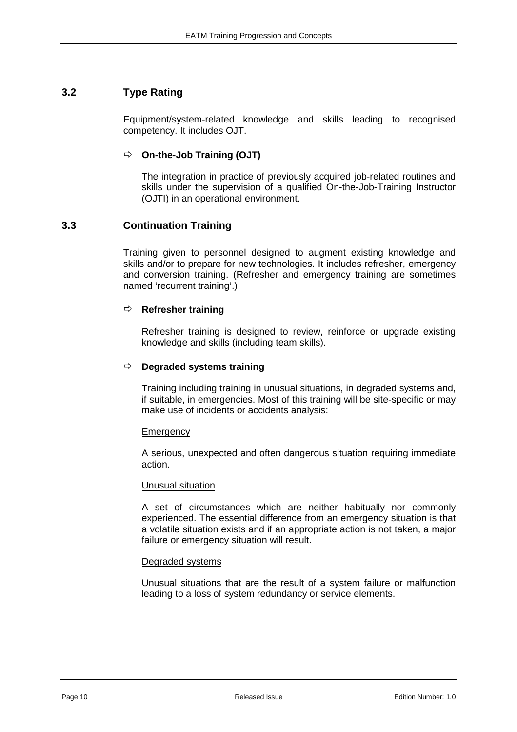## **3.2 Type Rating**

Equipment/system-related knowledge and skills leading to recognised competency. It includes OJT.

#### **On-the-Job Training (OJT)**

The integration in practice of previously acquired job-related routines and skills under the supervision of a qualified On-the-Job-Training Instructor (OJTI) in an operational environment.

## **3.3 Continuation Training**

Training given to personnel designed to augment existing knowledge and skills and/or to prepare for new technologies. It includes refresher, emergency and conversion training. (Refresher and emergency training are sometimes named 'recurrent training'.)

#### **Refresher training**

Refresher training is designed to review, reinforce or upgrade existing knowledge and skills (including team skills).

#### **Degraded systems training**

Training including training in unusual situations, in degraded systems and, if suitable, in emergencies. Most of this training will be site-specific or may make use of incidents or accidents analysis:

#### **Emergency**

A serious, unexpected and often dangerous situation requiring immediate action.

#### Unusual situation

A set of circumstances which are neither habitually nor commonly experienced. The essential difference from an emergency situation is that a volatile situation exists and if an appropriate action is not taken, a major failure or emergency situation will result.

#### Degraded systems

Unusual situations that are the result of a system failure or malfunction leading to a loss of system redundancy or service elements.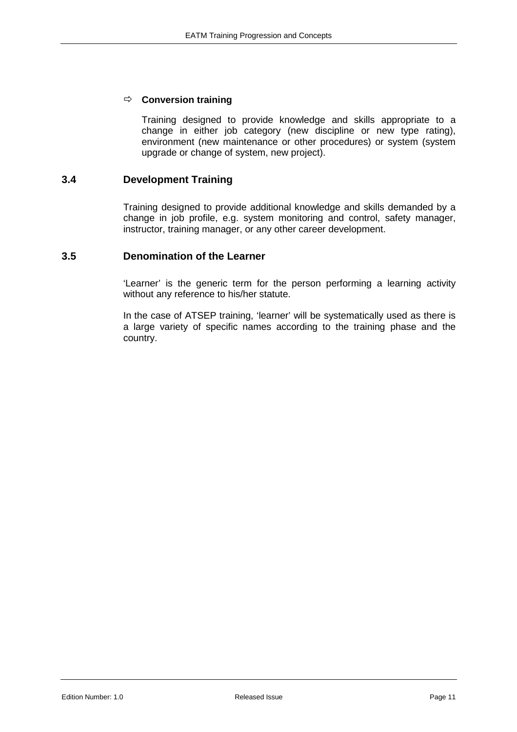#### **Conversion training**

Training designed to provide knowledge and skills appropriate to a change in either job category (new discipline or new type rating), environment (new maintenance or other procedures) or system (system upgrade or change of system, new project).

#### **3.4 Development Training**

Training designed to provide additional knowledge and skills demanded by a change in job profile, e.g. system monitoring and control, safety manager, instructor, training manager, or any other career development.

#### **3.5 Denomination of the Learner**

'Learner' is the generic term for the person performing a learning activity without any reference to his/her statute.

In the case of ATSEP training, 'learner' will be systematically used as there is a large variety of specific names according to the training phase and the country.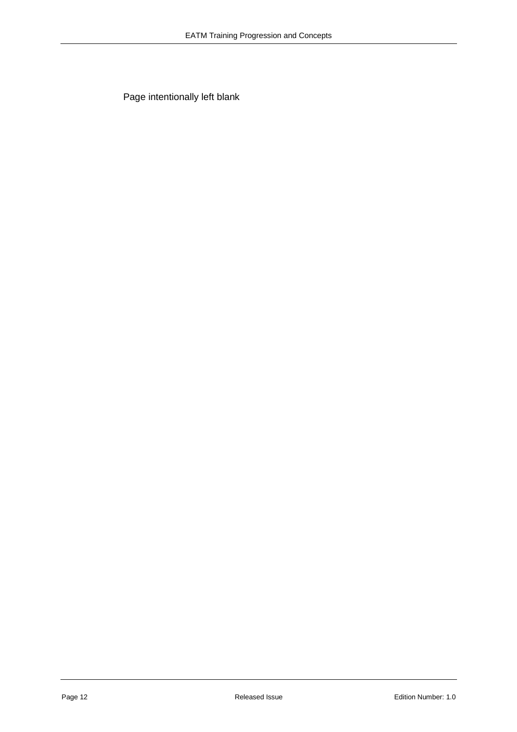Page intentionally left blank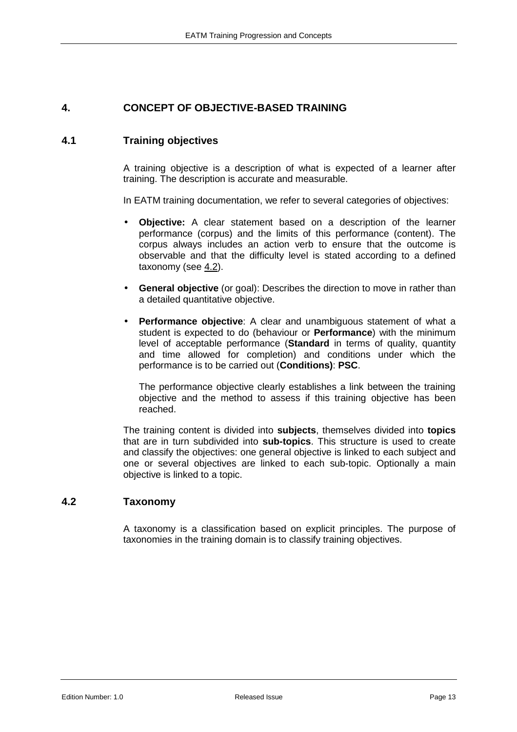## **4. CONCEPT OF OBJECTIVE-BASED TRAINING**

## **4.1 Training objectives**

A training objective is a description of what is expected of a learner after training. The description is accurate and measurable.

In EATM training documentation, we refer to several categories of objectives:

- **Objective:** A clear statement based on a description of the learner performance (corpus) and the limits of this performance (content). The corpus always includes an action verb to ensure that the outcome is observable and that the difficulty level is stated according to a defined taxonomy (see 4.2).
- **General objective** (or goal): Describes the direction to move in rather than a detailed quantitative objective.
- **Performance objective:** A clear and unambiguous statement of what a student is expected to do (behaviour or **Performance**) with the minimum level of acceptable performance (**Standard** in terms of quality, quantity and time allowed for completion) and conditions under which the performance is to be carried out (**Conditions)**: **PSC**.

The performance objective clearly establishes a link between the training objective and the method to assess if this training objective has been reached.

The training content is divided into **subjects**, themselves divided into **topics** that are in turn subdivided into **sub-topics**. This structure is used to create and classify the objectives: one general objective is linked to each subject and one or several objectives are linked to each sub-topic. Optionally a main objective is linked to a topic.

#### **4.2 Taxonomy**

A taxonomy is a classification based on explicit principles. The purpose of taxonomies in the training domain is to classify training objectives.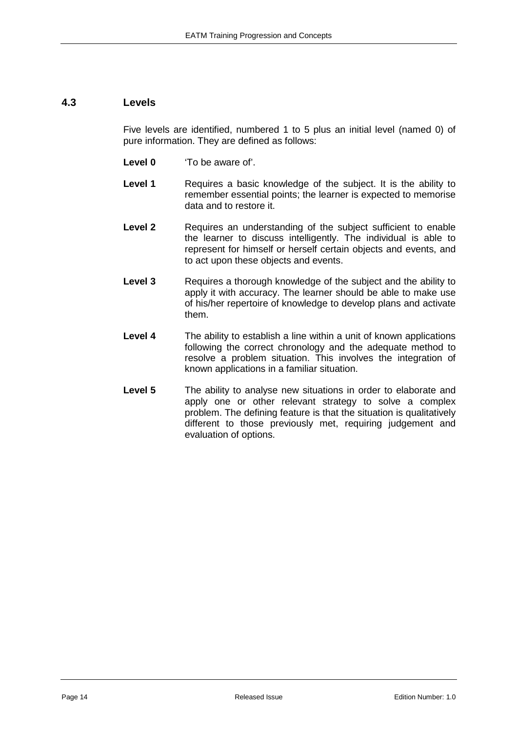## **4.3 Levels**

Five levels are identified, numbered 1 to 5 plus an initial level (named 0) of pure information. They are defined as follows:

- **Level 0** 'To be aware of'.
- Level 1 Requires a basic knowledge of the subject. It is the ability to remember essential points; the learner is expected to memorise data and to restore it.
- Level 2 Requires an understanding of the subject sufficient to enable the learner to discuss intelligently. The individual is able to represent for himself or herself certain objects and events, and to act upon these objects and events.
- **Level 3** Requires a thorough knowledge of the subject and the ability to apply it with accuracy. The learner should be able to make use of his/her repertoire of knowledge to develop plans and activate them.
- **Level 4** The ability to establish a line within a unit of known applications following the correct chronology and the adequate method to resolve a problem situation. This involves the integration of known applications in a familiar situation.
- **Level 5** The ability to analyse new situations in order to elaborate and apply one or other relevant strategy to solve a complex problem. The defining feature is that the situation is qualitatively different to those previously met, requiring judgement and evaluation of options.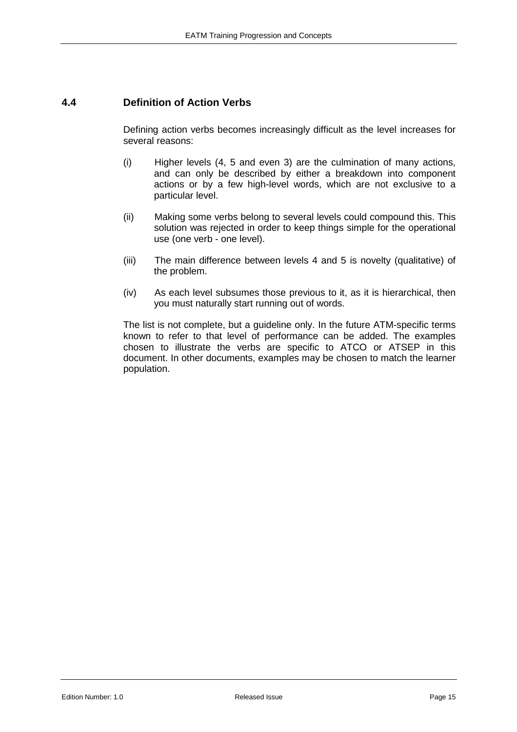## **4.4 Definition of Action Verbs**

Defining action verbs becomes increasingly difficult as the level increases for several reasons:

- (i) Higher levels (4, 5 and even 3) are the culmination of many actions, and can only be described by either a breakdown into component actions or by a few high-level words, which are not exclusive to a particular level.
- (ii) Making some verbs belong to several levels could compound this. This solution was rejected in order to keep things simple for the operational use (one verb - one level).
- (iii) The main difference between levels 4 and 5 is novelty (qualitative) of the problem.
- (iv) As each level subsumes those previous to it, as it is hierarchical, then you must naturally start running out of words.

The list is not complete, but a guideline only. In the future ATM-specific terms known to refer to that level of performance can be added. The examples chosen to illustrate the verbs are specific to ATCO or ATSEP in this document. In other documents, examples may be chosen to match the learner population.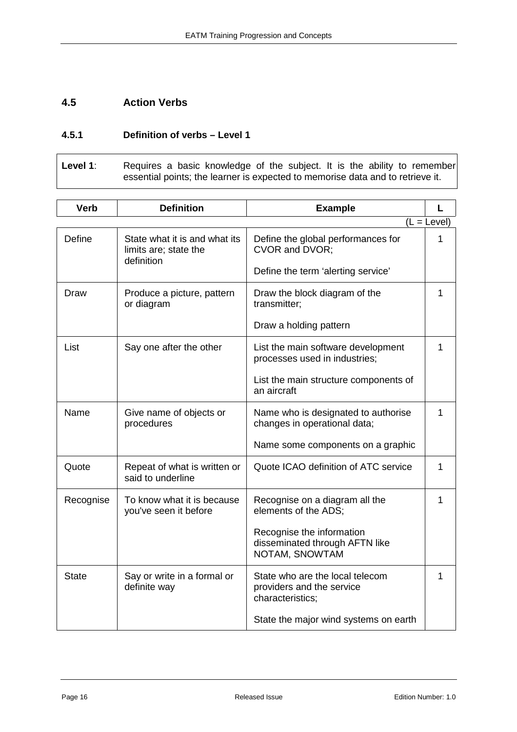## **4.5 Action Verbs**

#### **4.5.1 Definition of verbs – Level 1**

Level 1: Requires a basic knowledge of the subject. It is the ability to remember essential points; the learner is expected to memorise data and to retrieve it.

| <b>Verb</b>  | <b>Definition</b>                                                    | <b>Example</b>                                                                   |               |
|--------------|----------------------------------------------------------------------|----------------------------------------------------------------------------------|---------------|
|              |                                                                      |                                                                                  | $(L = Level)$ |
| Define       | State what it is and what its<br>limits are; state the<br>definition | Define the global performances for<br>CVOR and DVOR;                             | 1             |
|              |                                                                      | Define the term 'alerting service'                                               |               |
| Draw         | Produce a picture, pattern<br>or diagram                             | Draw the block diagram of the<br>transmitter;                                    | 1             |
|              |                                                                      | Draw a holding pattern                                                           |               |
| List         | Say one after the other                                              | List the main software development<br>processes used in industries;              | 1             |
|              |                                                                      | List the main structure components of<br>an aircraft                             |               |
| Name         | Give name of objects or<br>procedures                                | Name who is designated to authorise<br>changes in operational data;              | $\mathbf{1}$  |
|              |                                                                      | Name some components on a graphic                                                |               |
| Quote        | Repeat of what is written or<br>said to underline                    | Quote ICAO definition of ATC service                                             | 1             |
| Recognise    | To know what it is because<br>you've seen it before                  | Recognise on a diagram all the<br>elements of the ADS;                           | 1             |
|              |                                                                      | Recognise the information<br>disseminated through AFTN like<br>NOTAM, SNOWTAM    |               |
| <b>State</b> | Say or write in a formal or<br>definite way                          | State who are the local telecom<br>providers and the service<br>characteristics; | 1             |
|              |                                                                      | State the major wind systems on earth                                            |               |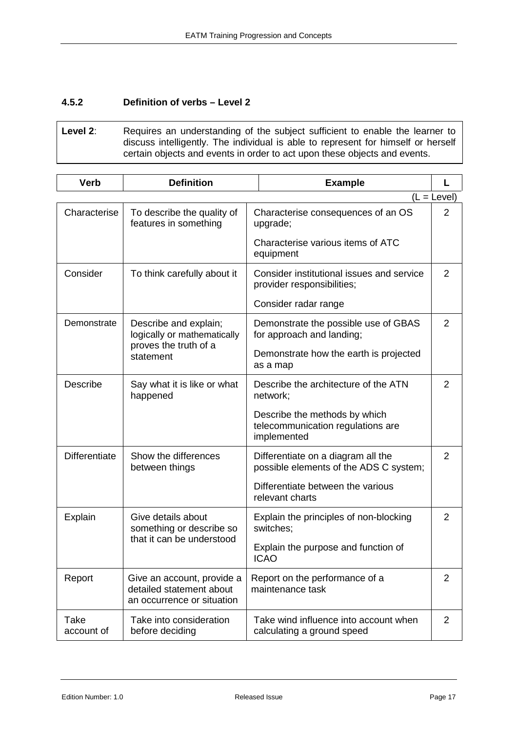## **4.5.2 Definition of verbs – Level 2**

Level 2: Requires an understanding of the subject sufficient to enable the learner to discuss intelligently. The individual is able to represent for himself or herself certain objects and events in order to act upon these objects and events.

| <b>Verb</b>          | <b>Definition</b>                                                                    | <b>Example</b>                                                                    | L              |
|----------------------|--------------------------------------------------------------------------------------|-----------------------------------------------------------------------------------|----------------|
|                      |                                                                                      |                                                                                   | $(L = Level)$  |
| Characterise         | To describe the quality of<br>features in something                                  | Characterise consequences of an OS<br>upgrade;                                    | $\overline{2}$ |
|                      |                                                                                      | Characterise various items of ATC<br>equipment                                    |                |
| Consider             | To think carefully about it                                                          | Consider institutional issues and service<br>provider responsibilities;           | $\overline{2}$ |
|                      |                                                                                      | Consider radar range                                                              |                |
| Demonstrate          | Describe and explain;<br>logically or mathematically                                 | Demonstrate the possible use of GBAS<br>for approach and landing;                 | $\overline{2}$ |
|                      | proves the truth of a<br>statement                                                   | Demonstrate how the earth is projected<br>as a map                                |                |
| <b>Describe</b>      | Say what it is like or what<br>happened                                              | Describe the architecture of the ATN<br>network;                                  | $\overline{2}$ |
|                      |                                                                                      | Describe the methods by which<br>telecommunication regulations are<br>implemented |                |
| <b>Differentiate</b> | Show the differences<br>between things                                               | Differentiate on a diagram all the<br>possible elements of the ADS C system;      | $\overline{2}$ |
|                      |                                                                                      | Differentiate between the various<br>relevant charts                              |                |
| Explain              | Give details about<br>something or describe so                                       | Explain the principles of non-blocking<br>switches;                               | 2              |
|                      | that it can be understood                                                            | Explain the purpose and function of<br><b>ICAO</b>                                |                |
| Report               | Give an account, provide a<br>detailed statement about<br>an occurrence or situation | Report on the performance of a<br>maintenance task                                | $\overline{2}$ |
| Take<br>account of   | Take into consideration<br>before deciding                                           | Take wind influence into account when<br>calculating a ground speed               | $\overline{2}$ |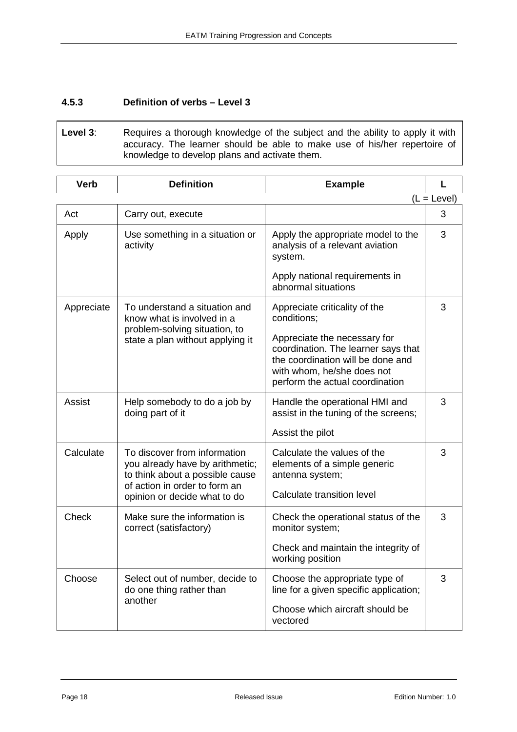## **4.5.3 Definition of verbs – Level 3**

Level 3: Requires a thorough knowledge of the subject and the ability to apply it with accuracy. The learner should be able to make use of his/her repertoire of knowledge to develop plans and activate them.

| <b>Verb</b>  | <b>Definition</b>                                                                                                                   | <b>Example</b>                                                                                                                                                            | L             |
|--------------|-------------------------------------------------------------------------------------------------------------------------------------|---------------------------------------------------------------------------------------------------------------------------------------------------------------------------|---------------|
|              |                                                                                                                                     |                                                                                                                                                                           | $(L = Level)$ |
| Act          | Carry out, execute                                                                                                                  |                                                                                                                                                                           | 3             |
| Apply        | Use something in a situation or<br>activity                                                                                         | Apply the appropriate model to the<br>analysis of a relevant aviation<br>system.                                                                                          | 3             |
|              |                                                                                                                                     | Apply national requirements in<br>abnormal situations                                                                                                                     |               |
| Appreciate   | To understand a situation and<br>know what is involved in a                                                                         | Appreciate criticality of the<br>conditions;                                                                                                                              | 3             |
|              | problem-solving situation, to<br>state a plan without applying it                                                                   | Appreciate the necessary for<br>coordination. The learner says that<br>the coordination will be done and<br>with whom, he/she does not<br>perform the actual coordination |               |
| Assist       | Help somebody to do a job by<br>doing part of it                                                                                    | Handle the operational HMI and<br>assist in the tuning of the screens;                                                                                                    | 3             |
|              |                                                                                                                                     | Assist the pilot                                                                                                                                                          |               |
| Calculate    | To discover from information<br>you already have by arithmetic;<br>to think about a possible cause<br>of action in order to form an | Calculate the values of the<br>elements of a simple generic<br>antenna system;                                                                                            | 3             |
|              | opinion or decide what to do                                                                                                        | Calculate transition level                                                                                                                                                |               |
| <b>Check</b> | Make sure the information is<br>correct (satisfactory)                                                                              | Check the operational status of the<br>monitor system;                                                                                                                    | 3             |
|              |                                                                                                                                     | Check and maintain the integrity of<br>working position                                                                                                                   |               |
| Choose       | Select out of number, decide to<br>do one thing rather than                                                                         | Choose the appropriate type of<br>line for a given specific application;                                                                                                  | 3             |
|              | another                                                                                                                             | Choose which aircraft should be<br>vectored                                                                                                                               |               |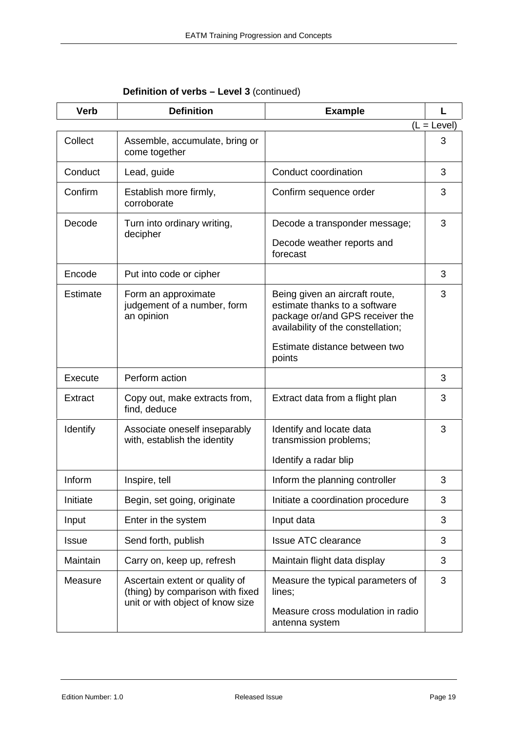| <b>Verb</b>  | <b>Definition</b>                                                  | <b>Example</b>                                                                                                                           |               |
|--------------|--------------------------------------------------------------------|------------------------------------------------------------------------------------------------------------------------------------------|---------------|
|              |                                                                    |                                                                                                                                          | $(L = Level)$ |
| Collect      | Assemble, accumulate, bring or<br>come together                    |                                                                                                                                          | 3             |
| Conduct      | Lead, guide                                                        | Conduct coordination                                                                                                                     | 3             |
| Confirm      | Establish more firmly,<br>corroborate                              | Confirm sequence order                                                                                                                   | 3             |
| Decode       | Turn into ordinary writing,                                        | Decode a transponder message;                                                                                                            | 3             |
|              | decipher                                                           | Decode weather reports and<br>forecast                                                                                                   |               |
| Encode       | Put into code or cipher                                            |                                                                                                                                          | 3             |
| Estimate     | Form an approximate<br>judgement of a number, form<br>an opinion   | Being given an aircraft route,<br>estimate thanks to a software<br>package or/and GPS receiver the<br>availability of the constellation; | 3             |
|              |                                                                    | Estimate distance between two<br>points                                                                                                  |               |
| Execute      | Perform action                                                     |                                                                                                                                          | 3             |
| Extract      | Copy out, make extracts from,<br>find, deduce                      | Extract data from a flight plan                                                                                                          | 3             |
| Identify     | Associate oneself inseparably<br>with, establish the identity      | Identify and locate data<br>transmission problems;                                                                                       | 3             |
|              |                                                                    | Identify a radar blip                                                                                                                    |               |
| Inform       | Inspire, tell                                                      | Inform the planning controller                                                                                                           | 3             |
| Initiate     | Begin, set going, originate                                        | Initiate a coordination procedure                                                                                                        | 3             |
| Input        | Enter in the system                                                | Input data                                                                                                                               | 3             |
| <b>Issue</b> | Send forth, publish                                                | <b>Issue ATC clearance</b>                                                                                                               | 3             |
| Maintain     | Carry on, keep up, refresh                                         | Maintain flight data display                                                                                                             | 3             |
| Measure      | Ascertain extent or quality of<br>(thing) by comparison with fixed | Measure the typical parameters of<br>lines;                                                                                              | 3             |
|              | unit or with object of know size                                   | Measure cross modulation in radio<br>antenna system                                                                                      |               |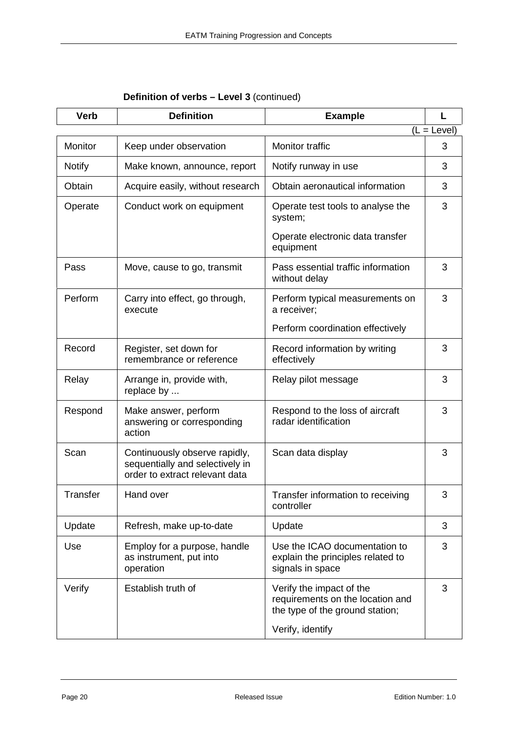| <b>Verb</b>   | <b>Definition</b>                                                                                  | <b>Example</b>                                                                                  | L             |
|---------------|----------------------------------------------------------------------------------------------------|-------------------------------------------------------------------------------------------------|---------------|
|               |                                                                                                    |                                                                                                 | $(L = Level)$ |
| Monitor       | Keep under observation                                                                             | Monitor traffic                                                                                 | 3             |
| <b>Notify</b> | Make known, announce, report                                                                       | Notify runway in use                                                                            | 3             |
| Obtain        | Acquire easily, without research                                                                   | Obtain aeronautical information                                                                 | 3             |
| Operate       | Conduct work on equipment                                                                          | Operate test tools to analyse the<br>system;                                                    | 3             |
|               |                                                                                                    | Operate electronic data transfer<br>equipment                                                   |               |
| Pass          | Move, cause to go, transmit                                                                        | Pass essential traffic information<br>without delay                                             | 3             |
| Perform       | Carry into effect, go through,<br>execute                                                          | Perform typical measurements on<br>a receiver;                                                  | 3             |
|               |                                                                                                    | Perform coordination effectively                                                                |               |
| Record        | Register, set down for<br>remembrance or reference                                                 | Record information by writing<br>effectively                                                    | 3             |
| Relay         | Arrange in, provide with,<br>replace by                                                            | Relay pilot message                                                                             | 3             |
| Respond       | Make answer, perform<br>answering or corresponding<br>action                                       | Respond to the loss of aircraft<br>radar identification                                         | 3             |
| Scan          | Continuously observe rapidly,<br>sequentially and selectively in<br>order to extract relevant data | Scan data display                                                                               | 3             |
| Transfer      | Hand over                                                                                          | Transfer information to receiving<br>controller                                                 | 3             |
| Update        | Refresh, make up-to-date                                                                           | Update                                                                                          | 3             |
| Use           | Employ for a purpose, handle<br>as instrument, put into<br>operation                               | Use the ICAO documentation to<br>explain the principles related to<br>signals in space          | 3             |
| Verify        | Establish truth of                                                                                 | Verify the impact of the<br>requirements on the location and<br>the type of the ground station; | 3             |
|               |                                                                                                    | Verify, identify                                                                                |               |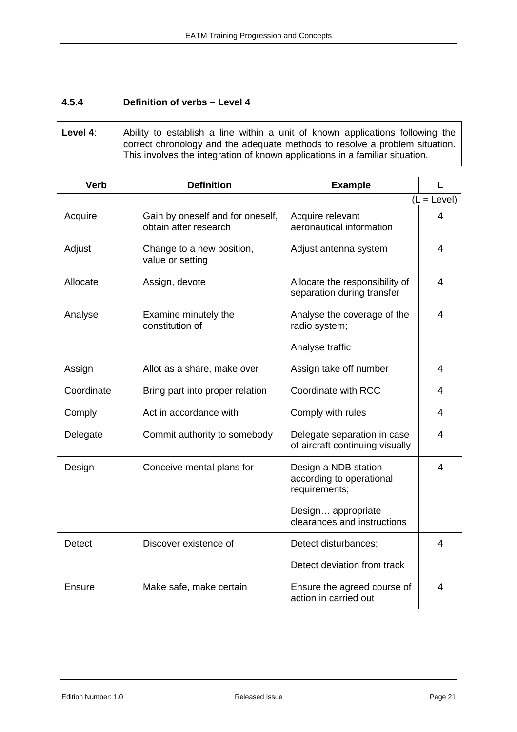## **4.5.4 Definition of verbs – Level 4**

**Level 4**: Ability to establish a line within a unit of known applications following the correct chronology and the adequate methods to resolve a problem situation. This involves the integration of known applications in a familiar situation.

| <b>Verb</b>   | <b>Definition</b>                                         | <b>Example</b>                                                    |                |
|---------------|-----------------------------------------------------------|-------------------------------------------------------------------|----------------|
|               |                                                           |                                                                   | $(L = Level)$  |
| Acquire       | Gain by oneself and for oneself,<br>obtain after research | Acquire relevant<br>aeronautical information                      | 4              |
| Adjust        | Change to a new position,<br>value or setting             | Adjust antenna system                                             | 4              |
| Allocate      | Assign, devote                                            | Allocate the responsibility of<br>separation during transfer      | 4              |
| Analyse       | Examine minutely the<br>constitution of                   | Analyse the coverage of the<br>radio system;                      | 4              |
|               |                                                           | Analyse traffic                                                   |                |
| Assign        | Allot as a share, make over                               | Assign take off number                                            | $\overline{4}$ |
| Coordinate    | Bring part into proper relation                           | Coordinate with RCC                                               | $\overline{4}$ |
| Comply        | Act in accordance with                                    | Comply with rules                                                 | 4              |
| Delegate      | Commit authority to somebody                              | Delegate separation in case<br>of aircraft continuing visually    | 4              |
| Design        | Conceive mental plans for                                 | Design a NDB station<br>according to operational<br>requirements; | 4              |
|               |                                                           | Design appropriate<br>clearances and instructions                 |                |
| <b>Detect</b> | Discover existence of                                     | Detect disturbances;                                              | 4              |
|               |                                                           | Detect deviation from track                                       |                |
| Ensure        | Make safe, make certain                                   | Ensure the agreed course of<br>action in carried out              | 4              |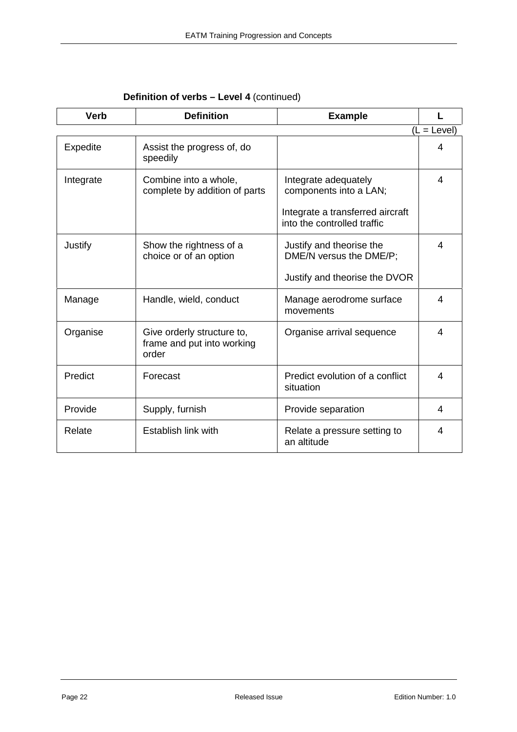| <b>Verb</b>     | <b>Definition</b>                                                 | <b>Example</b>                                                                                                    |               |
|-----------------|-------------------------------------------------------------------|-------------------------------------------------------------------------------------------------------------------|---------------|
|                 |                                                                   |                                                                                                                   | $(L = Level)$ |
| <b>Expedite</b> | Assist the progress of, do<br>speedily                            |                                                                                                                   | 4             |
| Integrate       | Combine into a whole,<br>complete by addition of parts            | Integrate adequately<br>components into a LAN;<br>Integrate a transferred aircraft<br>into the controlled traffic | 4             |
| Justify         | Show the rightness of a<br>choice or of an option                 | Justify and theorise the<br>DME/N versus the DME/P;<br>Justify and theorise the DVOR                              | 4             |
| Manage          | Handle, wield, conduct                                            | Manage aerodrome surface<br>movements                                                                             | 4             |
| Organise        | Give orderly structure to,<br>frame and put into working<br>order | Organise arrival sequence                                                                                         | 4             |
| Predict         | Forecast                                                          | Predict evolution of a conflict<br>situation                                                                      | 4             |
| Provide         | Supply, furnish                                                   | Provide separation                                                                                                | 4             |
| Relate          | Establish link with                                               | Relate a pressure setting to<br>an altitude                                                                       | 4             |

## **Definition of verbs – Level 4** (continued)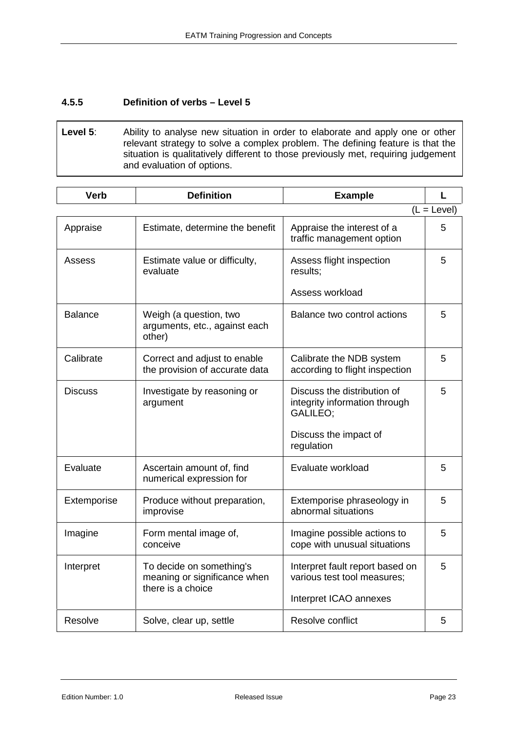## **4.5.5 Definition of verbs – Level 5**

**Level 5**: Ability to analyse new situation in order to elaborate and apply one or other relevant strategy to solve a complex problem. The defining feature is that the situation is qualitatively different to those previously met, requiring judgement and evaluation of options.

| <b>Verb</b>    | <b>Definition</b>                                                             | <b>Example</b>                                                                  | L             |
|----------------|-------------------------------------------------------------------------------|---------------------------------------------------------------------------------|---------------|
|                |                                                                               |                                                                                 | $(L = Level)$ |
| Appraise       | Estimate, determine the benefit                                               | Appraise the interest of a<br>traffic management option                         | 5             |
| Assess         | Estimate value or difficulty,<br>evaluate                                     | Assess flight inspection<br>results:                                            | 5             |
|                |                                                                               | Assess workload                                                                 |               |
| <b>Balance</b> | Weigh (a question, two<br>arguments, etc., against each<br>other)             | Balance two control actions                                                     | 5             |
| Calibrate      | Correct and adjust to enable<br>the provision of accurate data                | Calibrate the NDB system<br>according to flight inspection                      | 5             |
| <b>Discuss</b> | Investigate by reasoning or<br>argument                                       | Discuss the distribution of<br>integrity information through<br><b>GALILEO:</b> | 5             |
|                |                                                                               | Discuss the impact of<br>regulation                                             |               |
| Evaluate       | Ascertain amount of, find<br>numerical expression for                         | Evaluate workload                                                               | 5             |
| Extemporise    | Produce without preparation,<br>improvise                                     | Extemporise phraseology in<br>abnormal situations                               | 5             |
| Imagine        | Form mental image of,<br>conceive                                             | Imagine possible actions to<br>cope with unusual situations                     | 5             |
| Interpret      | To decide on something's<br>meaning or significance when<br>there is a choice | Interpret fault report based on<br>various test tool measures;                  | 5             |
|                |                                                                               | Interpret ICAO annexes                                                          |               |
| Resolve        | Solve, clear up, settle                                                       | Resolve conflict                                                                | 5             |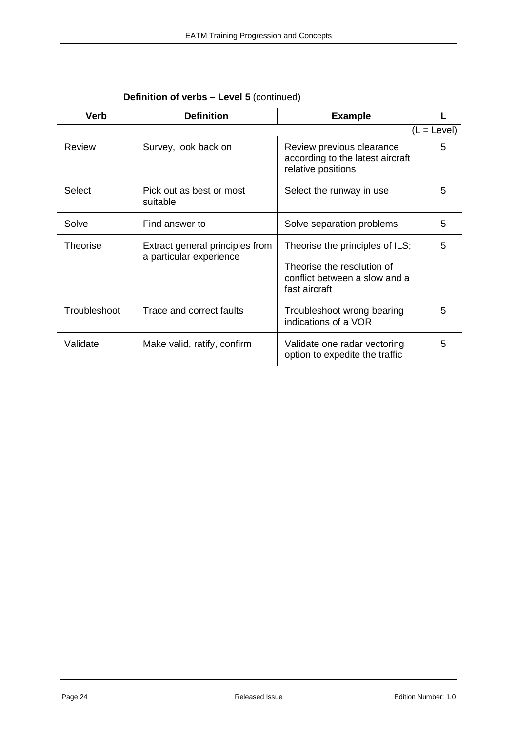| Verb            | <b>Definition</b>                                          | <b>Example</b>                                                                                                  |               |
|-----------------|------------------------------------------------------------|-----------------------------------------------------------------------------------------------------------------|---------------|
|                 |                                                            |                                                                                                                 | $(L = Level)$ |
| <b>Review</b>   | Survey, look back on                                       | Review previous clearance<br>according to the latest aircraft<br>relative positions                             | 5             |
| Select          | Pick out as best or most<br>suitable                       | Select the runway in use                                                                                        | 5             |
| Solve           | Find answer to                                             | Solve separation problems                                                                                       | 5             |
| <b>Theorise</b> | Extract general principles from<br>a particular experience | Theorise the principles of ILS;<br>Theorise the resolution of<br>conflict between a slow and a<br>fast aircraft | 5             |
| Troubleshoot    | Trace and correct faults                                   | Troubleshoot wrong bearing<br>indications of a VOR                                                              | 5             |
| Validate        | Make valid, ratify, confirm                                | Validate one radar vectoring<br>option to expedite the traffic                                                  | 5             |

## **Definition of verbs – Level 5** (continued)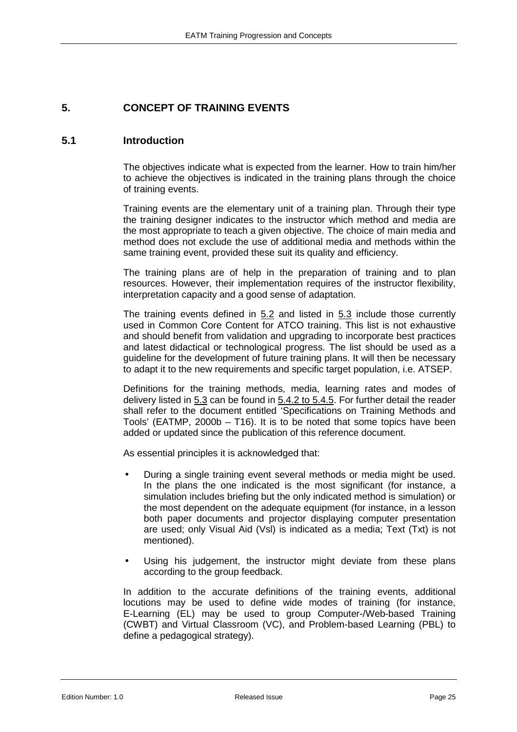## **5. CONCEPT OF TRAINING EVENTS**

## **5.1 Introduction**

The objectives indicate what is expected from the learner. How to train him/her to achieve the objectives is indicated in the training plans through the choice of training events.

Training events are the elementary unit of a training plan. Through their type the training designer indicates to the instructor which method and media are the most appropriate to teach a given objective. The choice of main media and method does not exclude the use of additional media and methods within the same training event, provided these suit its quality and efficiency.

The training plans are of help in the preparation of training and to plan resources. However, their implementation requires of the instructor flexibility, interpretation capacity and a good sense of adaptation.

The training events defined in 5.2 and listed in 5.3 include those currently used in Common Core Content for ATCO training. This list is not exhaustive and should benefit from validation and upgrading to incorporate best practices and latest didactical or technological progress. The list should be used as a guideline for the development of future training plans. It will then be necessary to adapt it to the new requirements and specific target population, i.e. ATSEP.

Definitions for the training methods, media, learning rates and modes of delivery listed in 5.3 can be found in 5.4.2 to 5.4.5. For further detail the reader shall refer to the document entitled 'Specifications on Training Methods and Tools' (EATMP, 2000b – T16). It is to be noted that some topics have been added or updated since the publication of this reference document.

As essential principles it is acknowledged that:

- During a single training event several methods or media might be used. In the plans the one indicated is the most significant (for instance, a simulation includes briefing but the only indicated method is simulation) or the most dependent on the adequate equipment (for instance, in a lesson both paper documents and projector displaying computer presentation are used; only Visual Aid (Vsl) is indicated as a media; Text (Txt) is not mentioned).
- Using his judgement, the instructor might deviate from these plans according to the group feedback.

In addition to the accurate definitions of the training events, additional locutions may be used to define wide modes of training (for instance, E-Learning (EL) may be used to group Computer-/Web-based Training (CWBT) and Virtual Classroom (VC), and Problem-based Learning (PBL) to define a pedagogical strategy).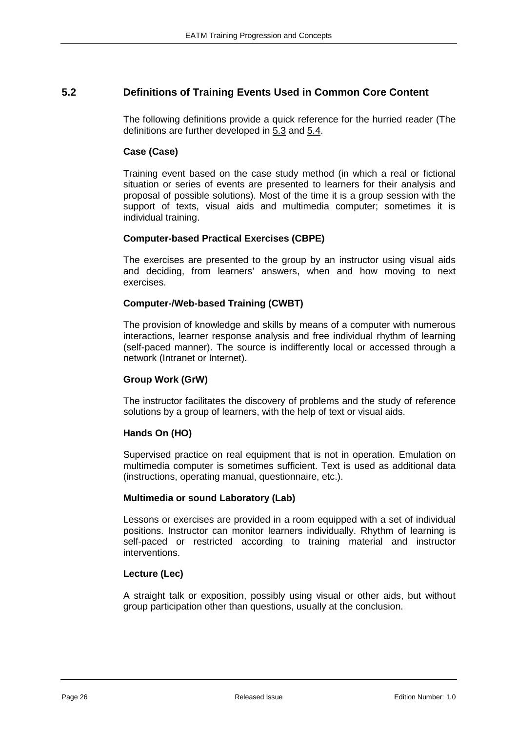## **5.2 Definitions of Training Events Used in Common Core Content**

The following definitions provide a quick reference for the hurried reader (The definitions are further developed in 5.3 and 5.4.

#### **Case (Case)**

Training event based on the case study method (in which a real or fictional situation or series of events are presented to learners for their analysis and proposal of possible solutions). Most of the time it is a group session with the support of texts, visual aids and multimedia computer; sometimes it is individual training.

#### **Computer-based Practical Exercises (CBPE)**

The exercises are presented to the group by an instructor using visual aids and deciding, from learners' answers, when and how moving to next exercises.

#### **Computer-/Web-based Training (CWBT)**

The provision of knowledge and skills by means of a computer with numerous interactions, learner response analysis and free individual rhythm of learning (self-paced manner). The source is indifferently local or accessed through a network (Intranet or Internet).

#### **Group Work (GrW)**

The instructor facilitates the discovery of problems and the study of reference solutions by a group of learners, with the help of text or visual aids.

#### **Hands On (HO)**

Supervised practice on real equipment that is not in operation. Emulation on multimedia computer is sometimes sufficient. Text is used as additional data (instructions, operating manual, questionnaire, etc.).

#### **Multimedia or sound Laboratory (Lab)**

Lessons or exercises are provided in a room equipped with a set of individual positions. Instructor can monitor learners individually. Rhythm of learning is self-paced or restricted according to training material and instructor interventions.

#### **Lecture (Lec)**

A straight talk or exposition, possibly using visual or other aids, but without group participation other than questions, usually at the conclusion.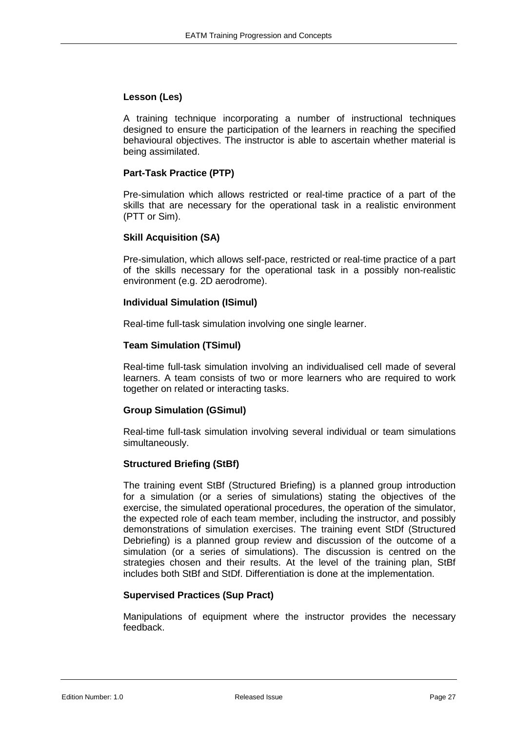#### **Lesson (Les)**

A training technique incorporating a number of instructional techniques designed to ensure the participation of the learners in reaching the specified behavioural objectives. The instructor is able to ascertain whether material is being assimilated.

#### **Part-Task Practice (PTP)**

Pre-simulation which allows restricted or real-time practice of a part of the skills that are necessary for the operational task in a realistic environment (PTT or Sim).

#### **Skill Acquisition (SA)**

Pre-simulation, which allows self-pace, restricted or real-time practice of a part of the skills necessary for the operational task in a possibly non-realistic environment (e.g. 2D aerodrome).

#### **Individual Simulation (ISimul)**

Real-time full-task simulation involving one single learner.

#### **Team Simulation (TSimul)**

Real-time full-task simulation involving an individualised cell made of several learners. A team consists of two or more learners who are required to work together on related or interacting tasks.

#### **Group Simulation (GSimul)**

Real-time full-task simulation involving several individual or team simulations simultaneously.

#### **Structured Briefing (StBf)**

The training event StBf (Structured Briefing) is a planned group introduction for a simulation (or a series of simulations) stating the objectives of the exercise, the simulated operational procedures, the operation of the simulator, the expected role of each team member, including the instructor, and possibly demonstrations of simulation exercises. The training event StDf (Structured Debriefing) is a planned group review and discussion of the outcome of a simulation (or a series of simulations). The discussion is centred on the strategies chosen and their results. At the level of the training plan, StBf includes both StBf and StDf. Differentiation is done at the implementation.

#### **Supervised Practices (Sup Pract)**

Manipulations of equipment where the instructor provides the necessary feedback.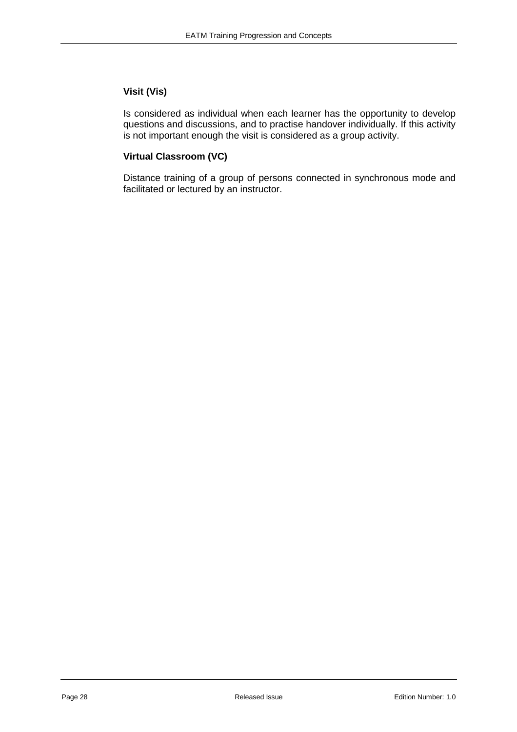## **Visit (Vis)**

Is considered as individual when each learner has the opportunity to develop questions and discussions, and to practise handover individually. If this activity is not important enough the visit is considered as a group activity.

#### **Virtual Classroom (VC)**

Distance training of a group of persons connected in synchronous mode and facilitated or lectured by an instructor.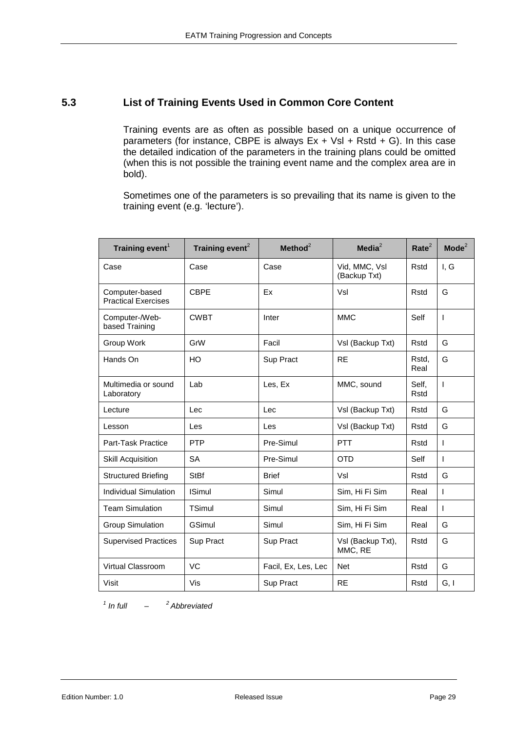## **5.3 List of Training Events Used in Common Core Content**

Training events are as often as possible based on a unique occurrence of parameters (for instance, CBPE is always  $Ex + Vsl + Rstd + G$ ). In this case the detailed indication of the parameters in the training plans could be omitted (when this is not possible the training event name and the complex area are in bold).

Sometimes one of the parameters is so prevailing that its name is given to the training event (e.g. 'lecture').

| Training event <sup>1</sup>                  | Training event <sup>2</sup> | Method $2$          | Media $2$                     | Rate <sup>2</sup>    | $\textsf{Mode}^2$ |
|----------------------------------------------|-----------------------------|---------------------|-------------------------------|----------------------|-------------------|
| Case                                         | Case                        | Case                | Vid, MMC, Vsl<br>(Backup Txt) | <b>Rstd</b>          | I. G              |
| Computer-based<br><b>Practical Exercises</b> | <b>CBPE</b>                 | Ex                  | Vsl                           | <b>Rstd</b>          | G                 |
| Computer-/Web-<br>based Training             | <b>CWBT</b>                 | Inter               | <b>MMC</b>                    | Self                 | $\mathsf{I}$      |
| Group Work                                   | GrW                         | Facil               | Vsl (Backup Txt)              | <b>Rstd</b>          | G                 |
| Hands On                                     | HO                          | Sup Pract           | <b>RE</b>                     | Rstd,<br>Real        | G                 |
| Multimedia or sound<br>Laboratory            | Lab                         | Les, Ex             | MMC, sound                    | Self.<br><b>Rstd</b> | $\mathsf{I}$      |
| Lecture                                      | Lec                         | Lec                 | Vsl (Backup Txt)              | <b>Rstd</b>          | G                 |
| Lesson                                       | Les                         | Les                 | Vsl (Backup Txt)              | <b>Rstd</b>          | G                 |
| Part-Task Practice                           | <b>PTP</b>                  | Pre-Simul           | <b>PTT</b>                    | <b>Rstd</b>          | $\mathbf{I}$      |
| <b>Skill Acquisition</b>                     | <b>SA</b>                   | Pre-Simul           | <b>OTD</b>                    | Self                 | $\mathbf{I}$      |
| <b>Structured Briefing</b>                   | <b>StBf</b>                 | <b>Brief</b>        | Vsl                           | <b>Rstd</b>          | G                 |
| <b>Individual Simulation</b>                 | <b>ISimul</b>               | Simul               | Sim, Hi Fi Sim                | Real                 | $\mathbf{I}$      |
| <b>Team Simulation</b>                       | TSimul                      | Simul               | Sim, Hi Fi Sim                | Real                 | $\mathbf{I}$      |
| <b>Group Simulation</b>                      | GSimul                      | Simul               | Sim, Hi Fi Sim                | Real                 | G                 |
| <b>Supervised Practices</b>                  | Sup Pract                   | Sup Pract           | Vsl (Backup Txt),<br>MMC, RE  | Rstd                 | G                 |
| Virtual Classroom                            | <b>VC</b>                   | Facil, Ex, Les, Lec | <b>Net</b>                    | <b>Rstd</b>          | G                 |
| Visit                                        | Vis                         | Sup Pract           | <b>RE</b>                     | Rstd                 | G, I              |

 $<sup>1</sup>$  In full</sup>  *In full – 2 Abbreviated*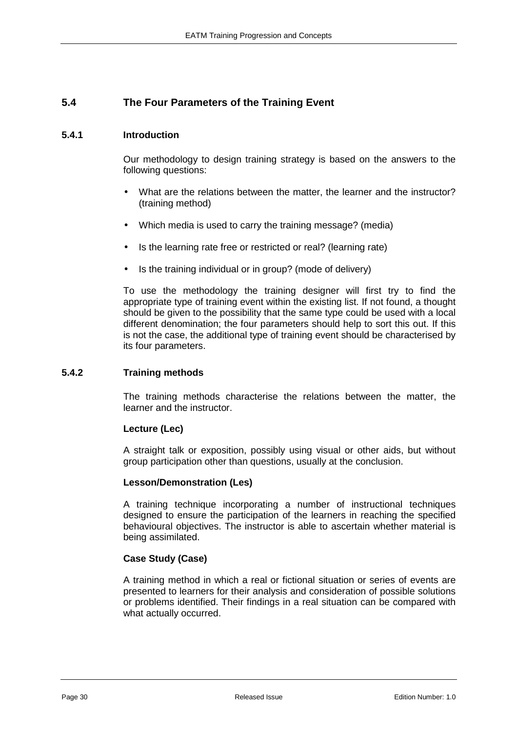## **5.4 The Four Parameters of the Training Event**

#### **5.4.1 Introduction**

Our methodology to design training strategy is based on the answers to the following questions:

- What are the relations between the matter, the learner and the instructor? (training method)
- Which media is used to carry the training message? (media)
- Is the learning rate free or restricted or real? (learning rate)
- Is the training individual or in group? (mode of delivery)

To use the methodology the training designer will first try to find the appropriate type of training event within the existing list. If not found, a thought should be given to the possibility that the same type could be used with a local different denomination; the four parameters should help to sort this out. If this is not the case, the additional type of training event should be characterised by its four parameters.

#### **5.4.2 Training methods**

The training methods characterise the relations between the matter, the learner and the instructor.

#### **Lecture (Lec)**

A straight talk or exposition, possibly using visual or other aids, but without group participation other than questions, usually at the conclusion.

#### **Lesson/Demonstration (Les)**

A training technique incorporating a number of instructional techniques designed to ensure the participation of the learners in reaching the specified behavioural objectives. The instructor is able to ascertain whether material is being assimilated.

#### **Case Study (Case)**

A training method in which a real or fictional situation or series of events are presented to learners for their analysis and consideration of possible solutions or problems identified. Their findings in a real situation can be compared with what actually occurred.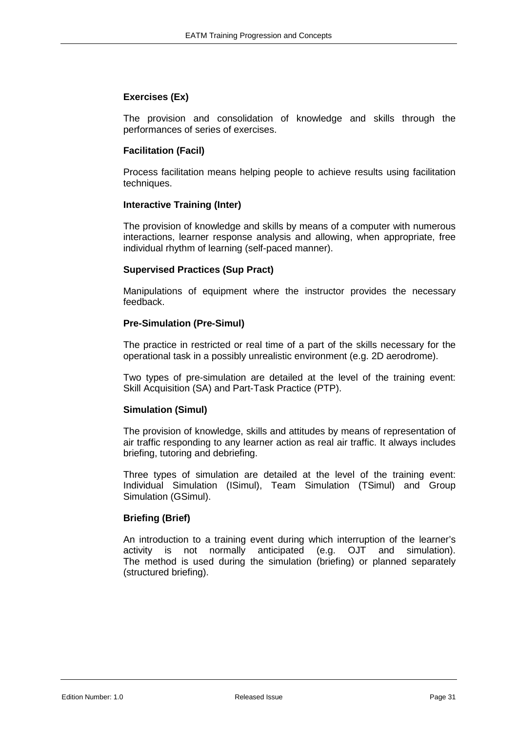#### **Exercises (Ex)**

The provision and consolidation of knowledge and skills through the performances of series of exercises.

#### **Facilitation (Facil)**

Process facilitation means helping people to achieve results using facilitation techniques.

#### **Interactive Training (Inter)**

The provision of knowledge and skills by means of a computer with numerous interactions, learner response analysis and allowing, when appropriate, free individual rhythm of learning (self-paced manner).

#### **Supervised Practices (Sup Pract)**

Manipulations of equipment where the instructor provides the necessary feedback.

#### **Pre-Simulation (Pre-Simul)**

The practice in restricted or real time of a part of the skills necessary for the operational task in a possibly unrealistic environment (e.g. 2D aerodrome).

Two types of pre-simulation are detailed at the level of the training event: Skill Acquisition (SA) and Part-Task Practice (PTP).

#### **Simulation (Simul)**

The provision of knowledge, skills and attitudes by means of representation of air traffic responding to any learner action as real air traffic. It always includes briefing, tutoring and debriefing.

Three types of simulation are detailed at the level of the training event: Individual Simulation (ISimul), Team Simulation (TSimul) and Group Simulation (GSimul).

#### **Briefing (Brief)**

An introduction to a training event during which interruption of the learner's activity is not normally anticipated (e.g. OJT and simulation). The method is used during the simulation (briefing) or planned separately (structured briefing).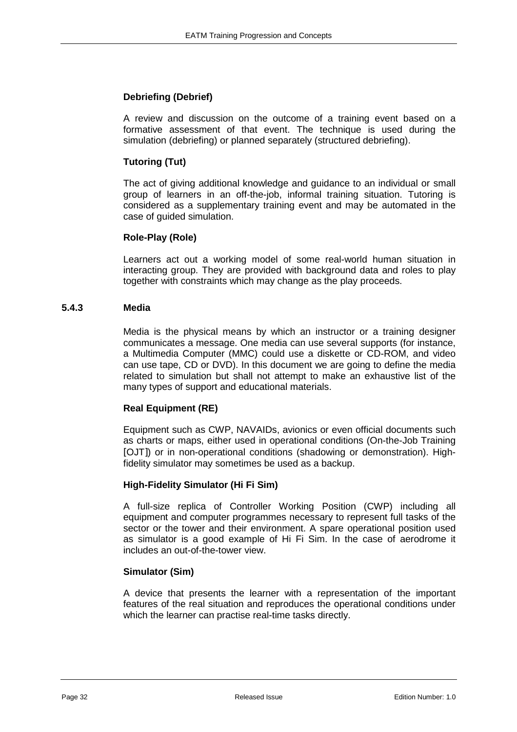#### **Debriefing (Debrief)**

A review and discussion on the outcome of a training event based on a formative assessment of that event. The technique is used during the simulation (debriefing) or planned separately (structured debriefing).

#### **Tutoring (Tut)**

The act of giving additional knowledge and guidance to an individual or small group of learners in an off-the-job, informal training situation. Tutoring is considered as a supplementary training event and may be automated in the case of guided simulation.

#### **Role-Play (Role)**

Learners act out a working model of some real-world human situation in interacting group. They are provided with background data and roles to play together with constraints which may change as the play proceeds.

#### **5.4.3 Media**

Media is the physical means by which an instructor or a training designer communicates a message. One media can use several supports (for instance, a Multimedia Computer (MMC) could use a diskette or CD-ROM, and video can use tape, CD or DVD). In this document we are going to define the media related to simulation but shall not attempt to make an exhaustive list of the many types of support and educational materials.

#### **Real Equipment (RE)**

Equipment such as CWP, NAVAIDs, avionics or even official documents such as charts or maps, either used in operational conditions (On-the-Job Training [OJT]) or in non-operational conditions (shadowing or demonstration). Highfidelity simulator may sometimes be used as a backup.

#### **High-Fidelity Simulator (Hi Fi Sim)**

A full-size replica of Controller Working Position (CWP) including all equipment and computer programmes necessary to represent full tasks of the sector or the tower and their environment. A spare operational position used as simulator is a good example of Hi Fi Sim. In the case of aerodrome it includes an out-of-the-tower view.

#### **Simulator (Sim)**

A device that presents the learner with a representation of the important features of the real situation and reproduces the operational conditions under which the learner can practise real-time tasks directly.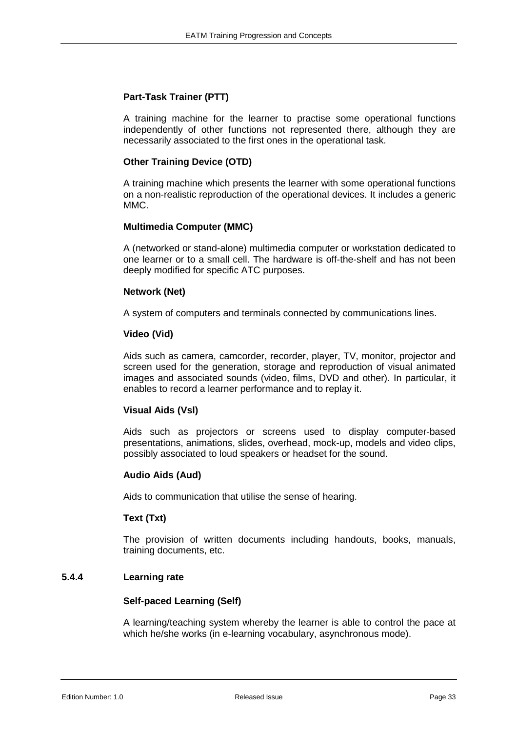#### **Part-Task Trainer (PTT)**

A training machine for the learner to practise some operational functions independently of other functions not represented there, although they are necessarily associated to the first ones in the operational task.

#### **Other Training Device (OTD)**

A training machine which presents the learner with some operational functions on a non-realistic reproduction of the operational devices. It includes a generic MMC.

#### **Multimedia Computer (MMC)**

A (networked or stand-alone) multimedia computer or workstation dedicated to one learner or to a small cell. The hardware is off-the-shelf and has not been deeply modified for specific ATC purposes.

#### **Network (Net)**

A system of computers and terminals connected by communications lines.

#### **Video (Vid)**

Aids such as camera, camcorder, recorder, player, TV, monitor, projector and screen used for the generation, storage and reproduction of visual animated images and associated sounds (video, films, DVD and other). In particular, it enables to record a learner performance and to replay it.

#### **Visual Aids (Vsl)**

Aids such as projectors or screens used to display computer-based presentations, animations, slides, overhead, mock-up, models and video clips, possibly associated to loud speakers or headset for the sound.

#### **Audio Aids (Aud)**

Aids to communication that utilise the sense of hearing.

#### **Text (Txt)**

The provision of written documents including handouts, books, manuals, training documents, etc.

#### **5.4.4 Learning rate**

#### **Self-paced Learning (Self)**

A learning/teaching system whereby the learner is able to control the pace at which he/she works (in e-learning vocabulary, asynchronous mode).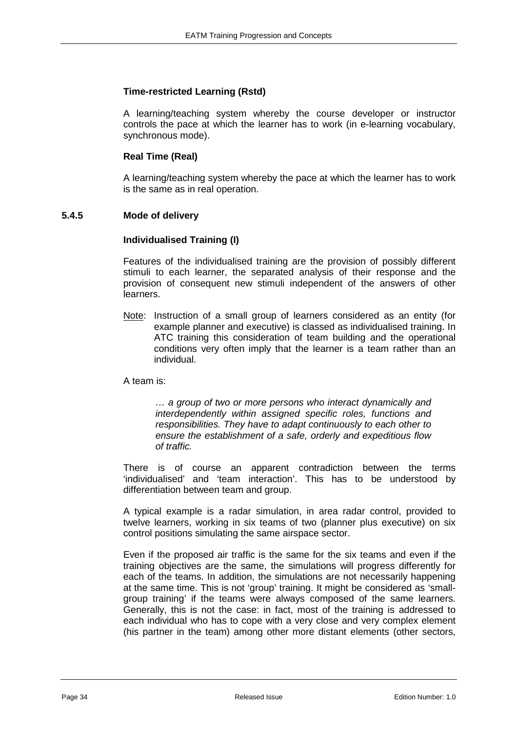#### **Time-restricted Learning (Rstd)**

A learning/teaching system whereby the course developer or instructor controls the pace at which the learner has to work (in e-learning vocabulary, synchronous mode).

#### **Real Time (Real)**

A learning/teaching system whereby the pace at which the learner has to work is the same as in real operation.

#### **5.4.5 Mode of delivery**

#### **Individualised Training (I)**

Features of the individualised training are the provision of possibly different stimuli to each learner, the separated analysis of their response and the provision of consequent new stimuli independent of the answers of other learners.

Note: Instruction of a small group of learners considered as an entity (for example planner and executive) is classed as individualised training. In ATC training this consideration of team building and the operational conditions very often imply that the learner is a team rather than an individual.

A team is:

*… a group of two or more persons who interact dynamically and interdependently within assigned specific roles, functions and responsibilities. They have to adapt continuously to each other to ensure the establishment of a safe, orderly and expeditious flow of traffic.*

There is of course an apparent contradiction between the terms 'individualised' and 'team interaction'. This has to be understood by differentiation between team and group.

A typical example is a radar simulation, in area radar control, provided to twelve learners, working in six teams of two (planner plus executive) on six control positions simulating the same airspace sector.

Even if the proposed air traffic is the same for the six teams and even if the training objectives are the same, the simulations will progress differently for each of the teams. In addition, the simulations are not necessarily happening at the same time. This is not 'group' training. It might be considered as 'smallgroup training' if the teams were always composed of the same learners. Generally, this is not the case: in fact, most of the training is addressed to each individual who has to cope with a very close and very complex element (his partner in the team) among other more distant elements (other sectors,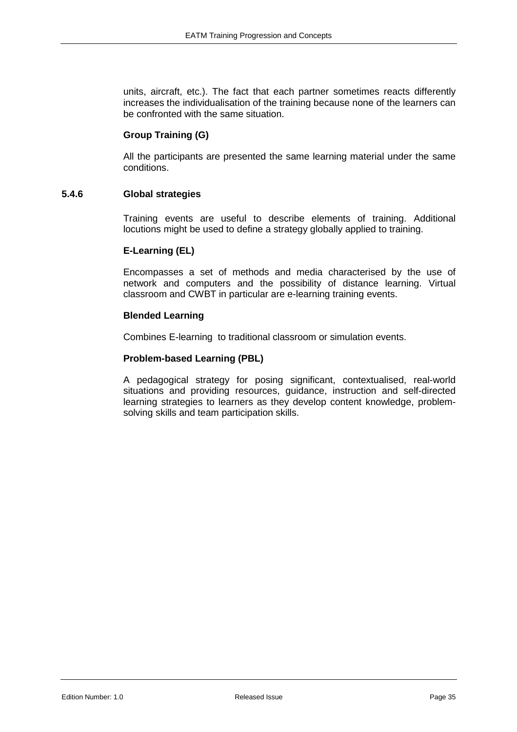units, aircraft, etc.). The fact that each partner sometimes reacts differently increases the individualisation of the training because none of the learners can be confronted with the same situation.

#### **Group Training (G)**

All the participants are presented the same learning material under the same conditions.

#### **5.4.6 Global strategies**

Training events are useful to describe elements of training. Additional locutions might be used to define a strategy globally applied to training.

#### **E-Learning (EL)**

Encompasses a set of methods and media characterised by the use of network and computers and the possibility of distance learning. Virtual classroom and CWBT in particular are e-learning training events.

#### **Blended Learning**

Combines E-learning to traditional classroom or simulation events.

#### **Problem-based Learning (PBL)**

A pedagogical strategy for posing significant, contextualised, real-world situations and providing resources, guidance, instruction and self-directed learning strategies to learners as they develop content knowledge, problemsolving skills and team participation skills.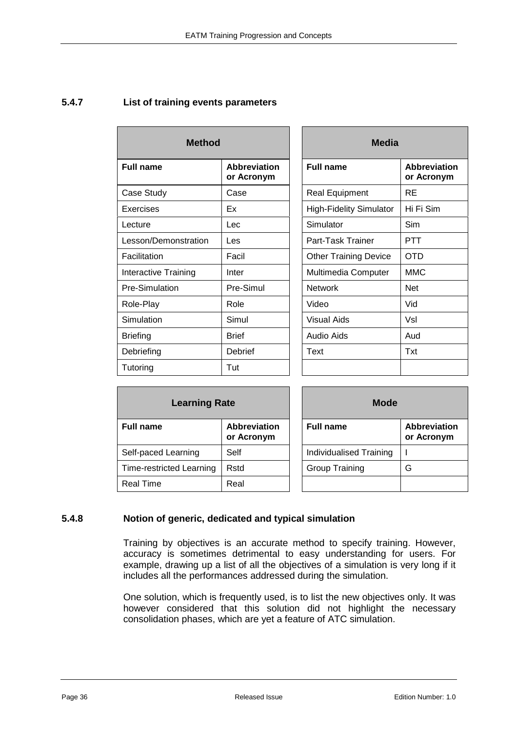## **5.4.7 List of training events parameters**

| <b>Method</b>         |                                   |  | <b>Media</b>                   |                                   |  |
|-----------------------|-----------------------------------|--|--------------------------------|-----------------------------------|--|
| <b>Full name</b>      | <b>Abbreviation</b><br>or Acronym |  | <b>Full name</b>               | <b>Abbreviation</b><br>or Acronym |  |
| Case Study            | Case                              |  | <b>Real Equipment</b>          | <b>RE</b>                         |  |
| Exercises             | Ex                                |  | <b>High-Fidelity Simulator</b> | Hi Fi Sim                         |  |
| Lecture               | Lec                               |  | Simulator                      | Sim                               |  |
| Lesson/Demonstration  | Les                               |  | Part-Task Trainer              | <b>PTT</b>                        |  |
| Facilitation          | Facil                             |  | <b>Other Training Device</b>   | 0TD                               |  |
| Interactive Training  | Inter                             |  | Multimedia Computer            | <b>MMC</b>                        |  |
| <b>Pre-Simulation</b> | Pre-Simul                         |  | <b>Network</b>                 | <b>Net</b>                        |  |
| Role-Play             | Role                              |  | Video                          | Vid                               |  |
| Simulation            | Simul                             |  | <b>Visual Aids</b>             | Vsl                               |  |
| <b>Briefing</b>       | <b>Brief</b>                      |  | Audio Aids                     | Aud                               |  |
| Debriefing            | <b>Debrief</b>                    |  | Text                           | Txt                               |  |
| Tutoring              | Tut                               |  |                                |                                   |  |

| <b>Learning Rate</b>                    |                            |  | <b>Mode</b>             |                                   |  |
|-----------------------------------------|----------------------------|--|-------------------------|-----------------------------------|--|
| <b>Full name</b>                        | Abbreviation<br>or Acronym |  | <b>Full name</b>        | <b>Abbreviation</b><br>or Acronym |  |
| Self<br>Self-paced Learning             |                            |  | Individualised Training |                                   |  |
| <b>Rstd</b><br>Time-restricted Learning |                            |  | <b>Group Training</b>   | G                                 |  |
| <b>Real Time</b><br>Real                |                            |  |                         |                                   |  |

## **5.4.8 Notion of generic, dedicated and typical simulation**

Training by objectives is an accurate method to specify training. However, accuracy is sometimes detrimental to easy understanding for users. For example, drawing up a list of all the objectives of a simulation is very long if it includes all the performances addressed during the simulation.

One solution, which is frequently used, is to list the new objectives only. It was however considered that this solution did not highlight the necessary consolidation phases, which are yet a feature of ATC simulation.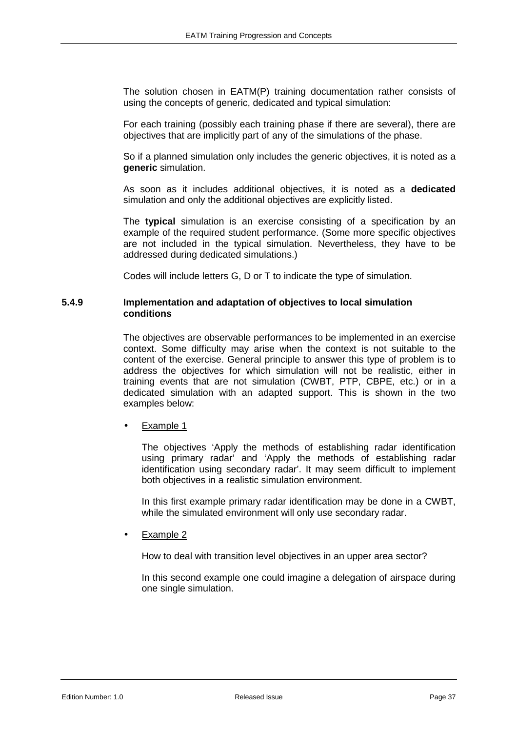The solution chosen in EATM(P) training documentation rather consists of using the concepts of generic, dedicated and typical simulation:

For each training (possibly each training phase if there are several), there are objectives that are implicitly part of any of the simulations of the phase.

So if a planned simulation only includes the generic objectives, it is noted as a **generic** simulation.

As soon as it includes additional objectives, it is noted as a **dedicated** simulation and only the additional objectives are explicitly listed.

The **typical** simulation is an exercise consisting of a specification by an example of the required student performance. (Some more specific objectives are not included in the typical simulation. Nevertheless, they have to be addressed during dedicated simulations.)

Codes will include letters G, D or T to indicate the type of simulation.

#### **5.4.9 Implementation and adaptation of objectives to local simulation conditions**

The objectives are observable performances to be implemented in an exercise context. Some difficulty may arise when the context is not suitable to the content of the exercise. General principle to answer this type of problem is to address the objectives for which simulation will not be realistic, either in training events that are not simulation (CWBT, PTP, CBPE, etc.) or in a dedicated simulation with an adapted support. This is shown in the two examples below:

• Example 1

The objectives 'Apply the methods of establishing radar identification using primary radar' and 'Apply the methods of establishing radar identification using secondary radar'. It may seem difficult to implement both objectives in a realistic simulation environment.

In this first example primary radar identification may be done in a CWBT, while the simulated environment will only use secondary radar.

Example 2

How to deal with transition level objectives in an upper area sector?

In this second example one could imagine a delegation of airspace during one single simulation.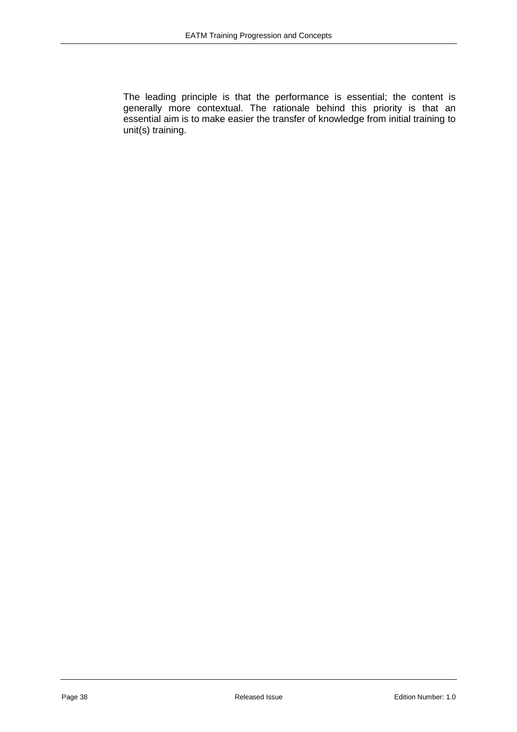The leading principle is that the performance is essential; the content is generally more contextual. The rationale behind this priority is that an essential aim is to make easier the transfer of knowledge from initial training to unit(s) training.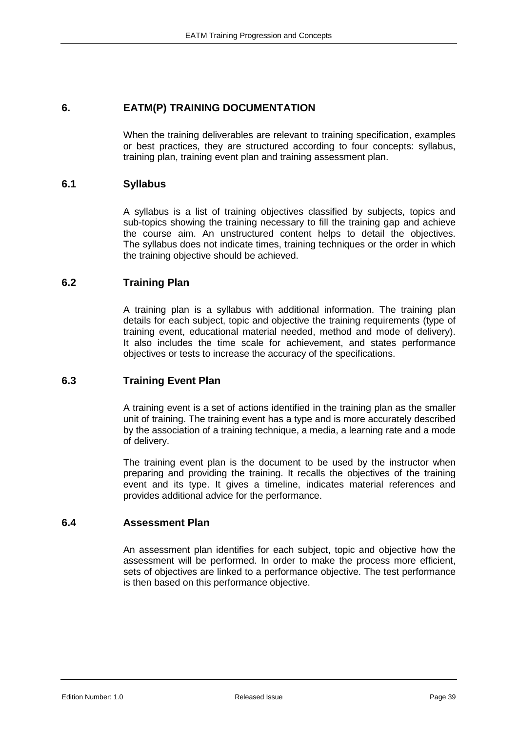## **6. EATM(P) TRAINING DOCUMENTATION**

When the training deliverables are relevant to training specification, examples or best practices, they are structured according to four concepts: syllabus, training plan, training event plan and training assessment plan.

#### **6.1 Syllabus**

A syllabus is a list of training objectives classified by subjects, topics and sub-topics showing the training necessary to fill the training gap and achieve the course aim. An unstructured content helps to detail the objectives. The syllabus does not indicate times, training techniques or the order in which the training objective should be achieved.

#### **6.2 Training Plan**

A training plan is a syllabus with additional information. The training plan details for each subject, topic and objective the training requirements (type of training event, educational material needed, method and mode of delivery). It also includes the time scale for achievement, and states performance objectives or tests to increase the accuracy of the specifications.

#### **6.3 Training Event Plan**

A training event is a set of actions identified in the training plan as the smaller unit of training. The training event has a type and is more accurately described by the association of a training technique, a media, a learning rate and a mode of delivery.

The training event plan is the document to be used by the instructor when preparing and providing the training. It recalls the objectives of the training event and its type. It gives a timeline, indicates material references and provides additional advice for the performance.

#### **6.4 Assessment Plan**

An assessment plan identifies for each subject, topic and objective how the assessment will be performed. In order to make the process more efficient, sets of objectives are linked to a performance objective. The test performance is then based on this performance objective.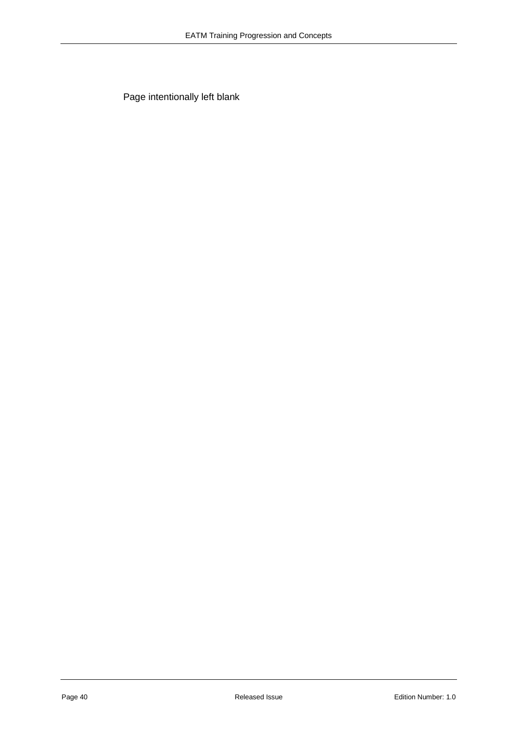Page intentionally left blank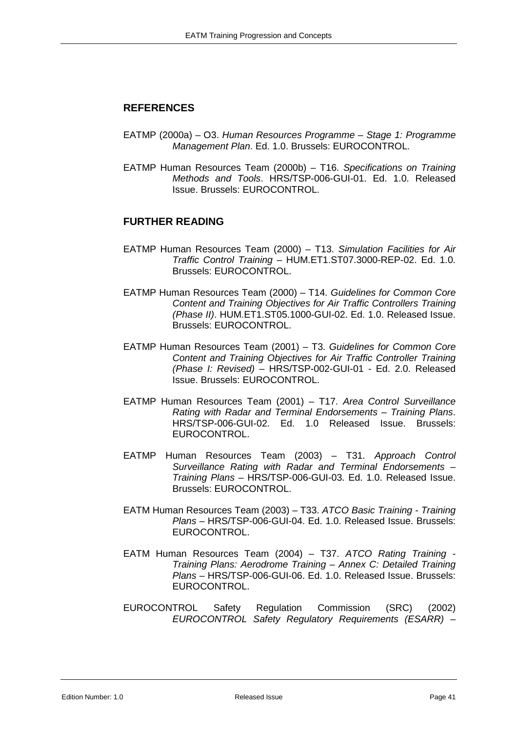## **REFERENCES**

- EATMP (2000a) O3. *Human Resources Programme Stage 1: Programme Management Plan*. Ed. 1.0. Brussels: EUROCONTROL.
- EATMP Human Resources Team (2000b) T16. *Specifications on Training Methods and Tools*. HRS/TSP-006-GUI-01. Ed. 1.0. Released Issue. Brussels: EUROCONTROL.

## **FURTHER READING**

- EATMP Human Resources Team (2000) T13. *Simulation Facilities for Air Traffic Control Training* – HUM.ET1.ST07.3000-REP-02. Ed. 1.0. Brussels: EUROCONTROL.
- EATMP Human Resources Team (2000) T14. *Guidelines for Common Core Content and Training Objectives for Air Traffic Controllers Training (Phase II)*. HUM.ET1.ST05.1000-GUI-02. Ed. 1.0. Released Issue. Brussels: EUROCONTROL.
- EATMP Human Resources Team (2001) T3. *Guidelines for Common Core Content and Training Objectives for Air Traffic Controller Training (Phase I: Revised)* – HRS/TSP-002-GUI-01 - Ed. 2.0. Released Issue. Brussels: EUROCONTROL.
- EATMP Human Resources Team (2001) T17. *Area Control Surveillance Rating with Radar and Terminal Endorsements – Training Plans*. HRS/TSP-006-GUI-02. Ed. 1.0 Released Issue. Brussels: EUROCONTROL.
- EATMP Human Resources Team (2003) T31. *Approach Control Surveillance Rating with Radar and Terminal Endorsements – Training Plans* – HRS/TSP-006-GUI-03. Ed. 1.0. Released Issue. Brussels: EUROCONTROL.
- EATM Human Resources Team (2003) T33. *ATCO Basic Training Training Plans* – HRS/TSP-006-GUI-04. Ed. 1.0. Released Issue. Brussels: EUROCONTROL.
- EATM Human Resources Team (2004) T37. *ATCO Rating Training - Training Plans: Aerodrome Training – Annex C: Detailed Training Plans* – HRS/TSP-006-GUI-06. Ed. 1.0. Released Issue. Brussels: EUROCONTROL.
- EUROCONTROL Safety Regulation Commission (SRC) (2002) *EUROCONTROL Safety Regulatory Requirements (ESARR) –*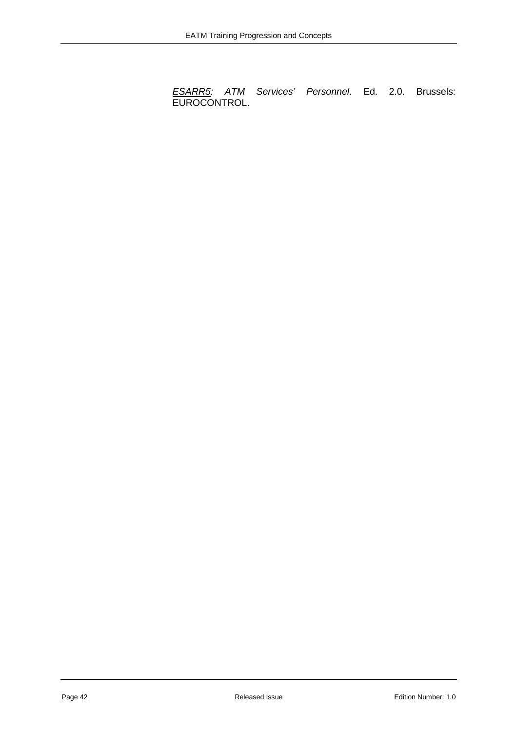*ESARR5: ATM Services' Personnel*. Ed. 2.0. Brussels: EUROCONTROL.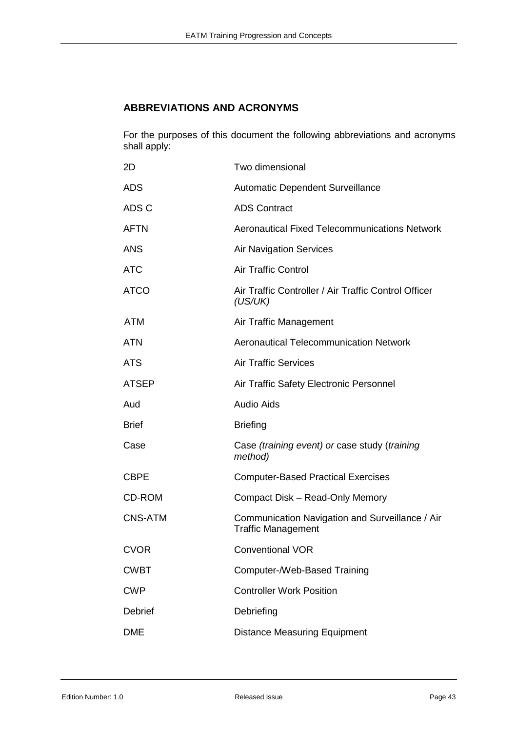## **ABBREVIATIONS AND ACRONYMS**

For the purposes of this document the following abbreviations and acronyms shall apply:

| 2D             | Two dimensional                                                              |
|----------------|------------------------------------------------------------------------------|
| ADS            | <b>Automatic Dependent Surveillance</b>                                      |
| ADS C          | <b>ADS Contract</b>                                                          |
| <b>AFTN</b>    | <b>Aeronautical Fixed Telecommunications Network</b>                         |
| ANS            | <b>Air Navigation Services</b>                                               |
| <b>ATC</b>     | <b>Air Traffic Control</b>                                                   |
| <b>ATCO</b>    | Air Traffic Controller / Air Traffic Control Officer<br>(US/UK)              |
| <b>ATM</b>     | Air Traffic Management                                                       |
| <b>ATN</b>     | <b>Aeronautical Telecommunication Network</b>                                |
| ATS            | <b>Air Traffic Services</b>                                                  |
| <b>ATSEP</b>   | Air Traffic Safety Electronic Personnel                                      |
| Aud            | <b>Audio Aids</b>                                                            |
| <b>Brief</b>   | <b>Briefing</b>                                                              |
| Case           | Case (training event) or case study (training<br>method)                     |
| <b>CBPE</b>    | <b>Computer-Based Practical Exercises</b>                                    |
| <b>CD-ROM</b>  | Compact Disk - Read-Only Memory                                              |
| <b>CNS-ATM</b> | Communication Navigation and Surveillance / Air<br><b>Traffic Management</b> |
| CVOR           | <b>Conventional VOR</b>                                                      |
| <b>CWBT</b>    | <b>Computer-/Web-Based Training</b>                                          |
| <b>CWP</b>     | <b>Controller Work Position</b>                                              |
| Debrief        | Debriefing                                                                   |
| <b>DME</b>     | <b>Distance Measuring Equipment</b>                                          |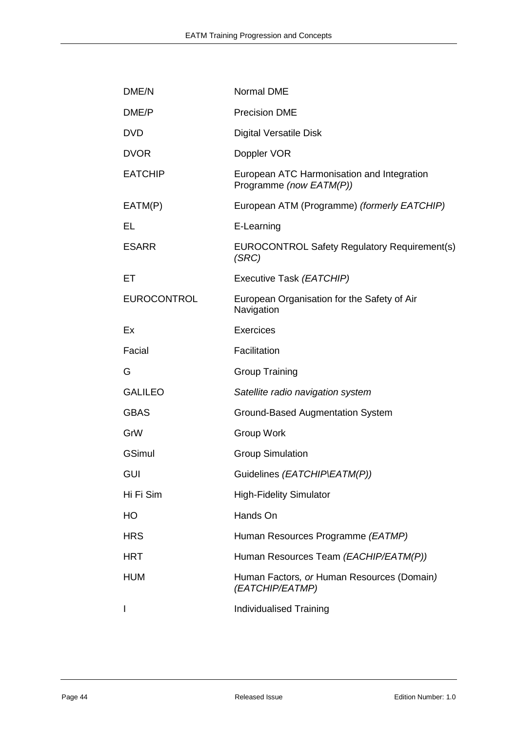| DME/N              | <b>Normal DME</b>                                                     |
|--------------------|-----------------------------------------------------------------------|
| DME/P              | <b>Precision DME</b>                                                  |
| <b>DVD</b>         | <b>Digital Versatile Disk</b>                                         |
| <b>DVOR</b>        | Doppler VOR                                                           |
| <b>EATCHIP</b>     | European ATC Harmonisation and Integration<br>Programme (now EATM(P)) |
| EATM(P)            | European ATM (Programme) (formerly EATCHIP)                           |
| EL                 | E-Learning                                                            |
| <b>ESARR</b>       | <b>EUROCONTROL Safety Regulatory Requirement(s)</b><br>(SRC)          |
| ET                 | Executive Task (EATCHIP)                                              |
| <b>EUROCONTROL</b> | European Organisation for the Safety of Air<br>Navigation             |
| Ex                 | <b>Exercices</b>                                                      |
| Facial             | Facilitation                                                          |
| G                  | <b>Group Training</b>                                                 |
| <b>GALILEO</b>     | Satellite radio navigation system                                     |
| <b>GBAS</b>        | Ground-Based Augmentation System                                      |
| GrW                | <b>Group Work</b>                                                     |
| <b>GSimul</b>      | <b>Group Simulation</b>                                               |
| GUI                | Guidelines (EATCHIP\EATM(P))                                          |
| Hi Fi Sim          | <b>High-Fidelity Simulator</b>                                        |
| HO                 | Hands On                                                              |
| <b>HRS</b>         | Human Resources Programme (EATMP)                                     |
| <b>HRT</b>         | Human Resources Team (EACHIP/EATM(P))                                 |
| <b>HUM</b>         | Human Factors, or Human Resources (Domain)<br>(EATCHIP/EATMP)         |
|                    | <b>Individualised Training</b>                                        |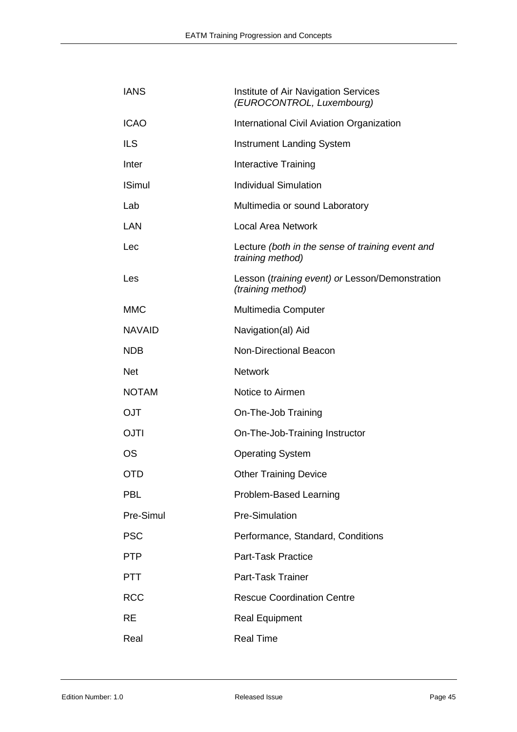| <b>IANS</b>   | Institute of Air Navigation Services<br>(EUROCONTROL, Luxembourg)    |
|---------------|----------------------------------------------------------------------|
| <b>ICAO</b>   | International Civil Aviation Organization                            |
| <b>ILS</b>    | <b>Instrument Landing System</b>                                     |
| Inter         | <b>Interactive Training</b>                                          |
| <b>ISimul</b> | <b>Individual Simulation</b>                                         |
| Lab           | Multimedia or sound Laboratory                                       |
| LAN           | <b>Local Area Network</b>                                            |
| Lec           | Lecture (both in the sense of training event and<br>training method) |
| Les           | Lesson (training event) or Lesson/Demonstration<br>(training method) |
| <b>MMC</b>    | <b>Multimedia Computer</b>                                           |
| <b>NAVAID</b> | Navigation(al) Aid                                                   |
| <b>NDB</b>    | <b>Non-Directional Beacon</b>                                        |
| <b>Net</b>    | <b>Network</b>                                                       |
| <b>NOTAM</b>  | Notice to Airmen                                                     |
| <b>OJT</b>    | On-The-Job Training                                                  |
| <b>OJTI</b>   | On-The-Job-Training Instructor                                       |
| OS            | <b>Operating System</b>                                              |
| OTD           | <b>Other Training Device</b>                                         |
| <b>PBL</b>    | Problem-Based Learning                                               |
| Pre-Simul     | <b>Pre-Simulation</b>                                                |
| <b>PSC</b>    | Performance, Standard, Conditions                                    |
| <b>PTP</b>    | <b>Part-Task Practice</b>                                            |
| <b>PTT</b>    | Part-Task Trainer                                                    |
| <b>RCC</b>    | <b>Rescue Coordination Centre</b>                                    |
| <b>RE</b>     | <b>Real Equipment</b>                                                |
| Real          | <b>Real Time</b>                                                     |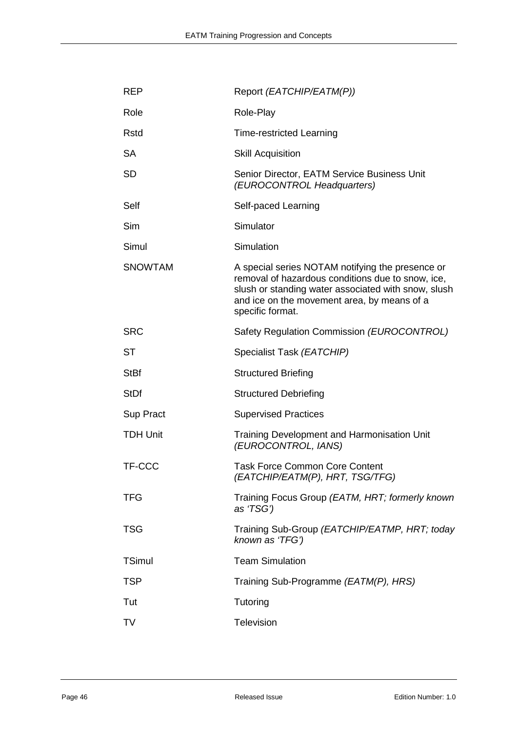| <b>REP</b>      | Report (EATCHIP/EATM(P))                                                                                                                                                                                                        |
|-----------------|---------------------------------------------------------------------------------------------------------------------------------------------------------------------------------------------------------------------------------|
| Role            | Role-Play                                                                                                                                                                                                                       |
| Rstd            | <b>Time-restricted Learning</b>                                                                                                                                                                                                 |
| <b>SA</b>       | <b>Skill Acquisition</b>                                                                                                                                                                                                        |
| <b>SD</b>       | Senior Director, EATM Service Business Unit<br>(EUROCONTROL Headquarters)                                                                                                                                                       |
| Self            | Self-paced Learning                                                                                                                                                                                                             |
| Sim             | Simulator                                                                                                                                                                                                                       |
| Simul           | Simulation                                                                                                                                                                                                                      |
| <b>SNOWTAM</b>  | A special series NOTAM notifying the presence or<br>removal of hazardous conditions due to snow, ice,<br>slush or standing water associated with snow, slush<br>and ice on the movement area, by means of a<br>specific format. |
| <b>SRC</b>      | Safety Regulation Commission (EUROCONTROL)                                                                                                                                                                                      |
| <b>ST</b>       | Specialist Task (EATCHIP)                                                                                                                                                                                                       |
| <b>StBf</b>     | <b>Structured Briefing</b>                                                                                                                                                                                                      |
| <b>StDf</b>     | <b>Structured Debriefing</b>                                                                                                                                                                                                    |
| Sup Pract       | <b>Supervised Practices</b>                                                                                                                                                                                                     |
| <b>TDH Unit</b> | <b>Training Development and Harmonisation Unit</b><br>(EUROCONTROL, IANS)                                                                                                                                                       |
| TF-CCC          | <b>Task Force Common Core Content</b><br>(EATCHIP/EATM(P), HRT, TSG/TFG)                                                                                                                                                        |
| <b>TFG</b>      | Training Focus Group (EATM, HRT; formerly known<br>as 'TSG')                                                                                                                                                                    |
| <b>TSG</b>      | Training Sub-Group (EATCHIP/EATMP, HRT; today<br>known as 'TFG')                                                                                                                                                                |
| <b>TSimul</b>   | <b>Team Simulation</b>                                                                                                                                                                                                          |
| <b>TSP</b>      | Training Sub-Programme (EATM(P), HRS)                                                                                                                                                                                           |
| Tut             | Tutoring                                                                                                                                                                                                                        |
| <b>TV</b>       | Television                                                                                                                                                                                                                      |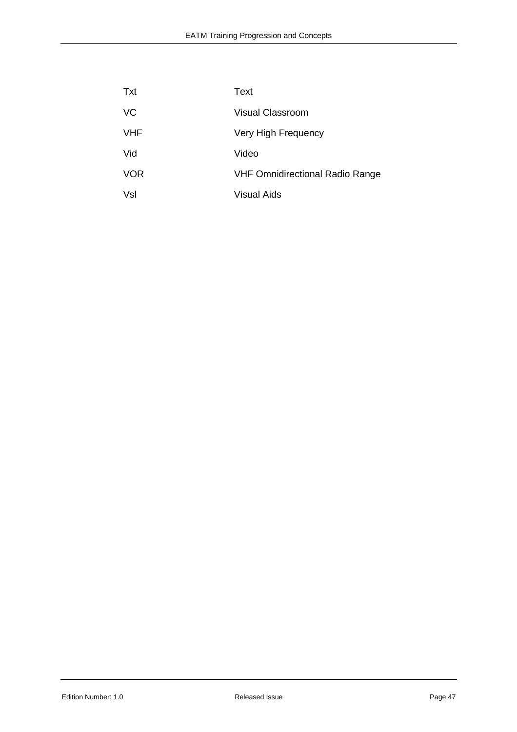| Txt        | Text                                   |
|------------|----------------------------------------|
| VC         | Visual Classroom                       |
| VHF        | Very High Frequency                    |
| Vid        | Video                                  |
| <b>VOR</b> | <b>VHF Omnidirectional Radio Range</b> |
| Vsl        | Visual Aids                            |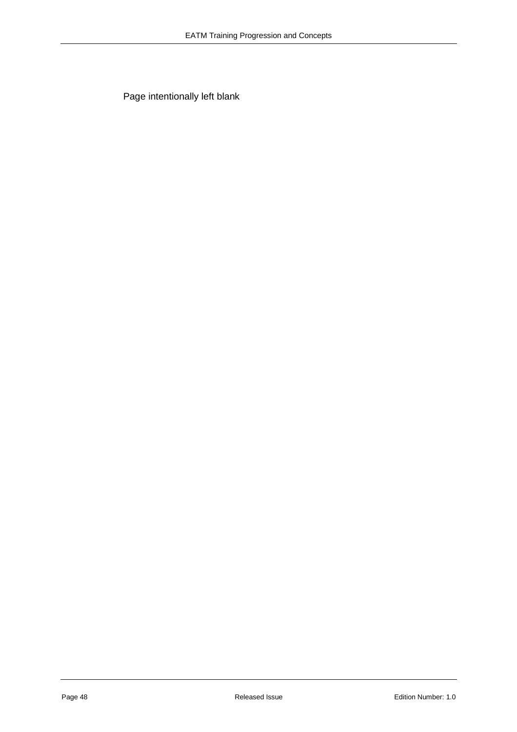Page intentionally left blank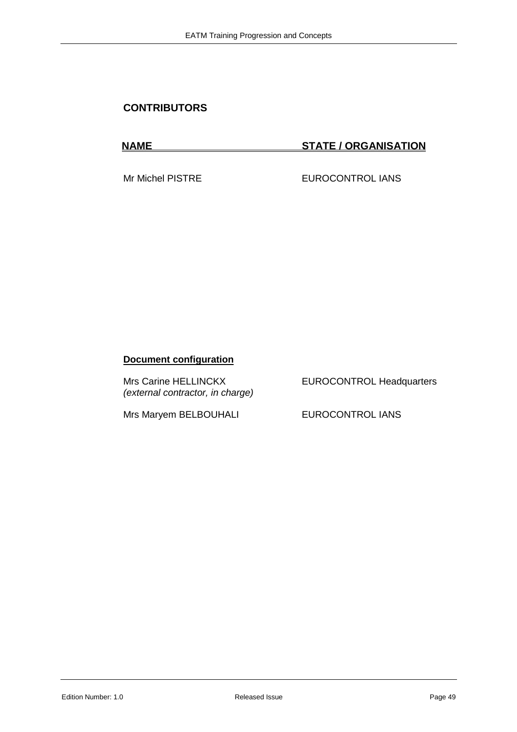## **CONTRIBUTORS**

**NAME STATE / ORGANISATION** 

Mr Michel PISTRE EUROCONTROL IANS

#### **Document configuration**

Mrs Carine HELLINCKX EUROCONTROL Headquarters *(external contractor, in charge)*

Mrs Maryem BELBOUHALI EUROCONTROL IANS